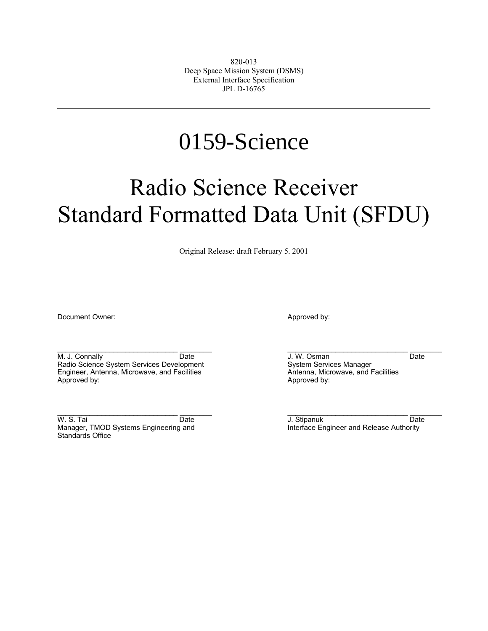820-013 Deep Space Mission System (DSMS) External Interface Specification JPL D-16765

# 0159-Science

# Radio Science Receiver Standard Formatted Data Unit (SFDU)

Original Release: draft February 5. 2001

Document Owner:

\_\_\_\_\_\_\_\_\_\_\_\_\_\_\_\_\_\_\_\_\_\_\_\_\_\_\_\_\_\_ \_\_\_\_\_\_\_\_ M. J. Connally Date Radio Science System Services Development Engineer, Antenna, Microwave, and Facilities Approved by:

W. S. Tai Date Manager, TMOD Systems Engineering and Standards Office

\_\_\_\_\_\_\_\_\_\_\_\_\_\_\_\_\_\_\_\_\_\_\_\_\_\_\_\_\_\_ \_\_\_\_\_\_\_\_

Approved by:

\_\_\_\_\_\_\_\_\_\_\_\_\_\_\_\_\_\_\_\_\_\_\_\_\_\_\_\_\_\_ \_\_\_\_\_\_\_\_ J. W. Osman Date System Services Manager Antenna, Microwave, and Facilities Approved by:

\_\_\_\_\_\_\_\_\_\_\_\_\_\_\_\_\_\_\_\_\_\_\_\_\_\_\_\_\_\_ \_\_\_\_\_\_\_\_ J. Stipanuk Date Interface Engineer and Release Authority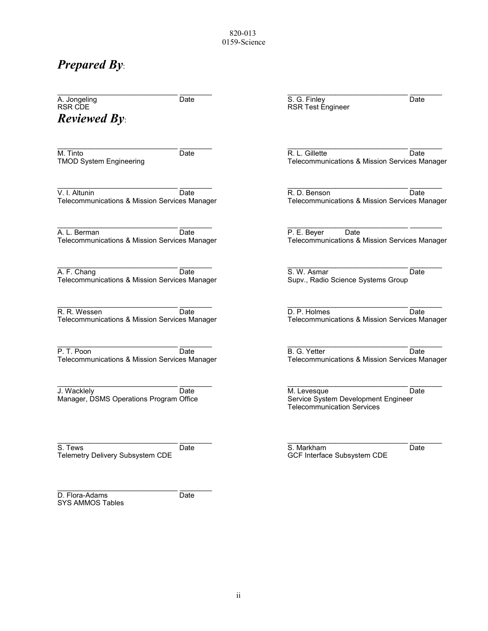## *Prepared By*:

| A. Jongeling<br>RSR CDE<br><b>Reviewed By:</b>                 | Date | S. G. Finley<br><b>RSR Test Engineer</b>                                         | Date |
|----------------------------------------------------------------|------|----------------------------------------------------------------------------------|------|
| M. Tinto<br><b>TMOD System Engineering</b>                     | Date | R. L. Gillette<br>Telecommunications & Mission Services Manager                  | Date |
| V. I. Altunin<br>Telecommunications & Mission Services Manager | Date | R. D. Benson<br>Telecommunications & Mission Services Manager                    | Date |
| A. L. Berman<br>Telecommunications & Mission Services Manager  | Date | P. E. Beyer<br>Date<br>Telecommunications & Mission Services Manager             |      |
| A. F. Chang<br>Telecommunications & Mission Services Manager   | Date | S. W. Asmar<br>Supv., Radio Science Systems Group                                | Date |
| R. R. Wessen<br>Telecommunications & Mission Services Manager  | Date | D. P. Holmes<br>Telecommunications & Mission Services Manager                    | Date |
| P.T. Poon<br>Telecommunications & Mission Services Manager     | Date | B. G. Yetter<br>Telecommunications & Mission Services Manager                    | Date |
| J. Wacklely<br>Manager, DSMS Operations Program Office         | Date | M. Levesque<br>Service System Development Engineer<br>Telecommunication Services | Date |
| S. Tews<br>Telemetry Delivery Subsystem CDE                    | Date | S. Markham<br>GCF Interface Subsystem CDE                                        | Date |
| D. Flora-Adams<br><b>SYS AMMOS Tables</b>                      | Date |                                                                                  |      |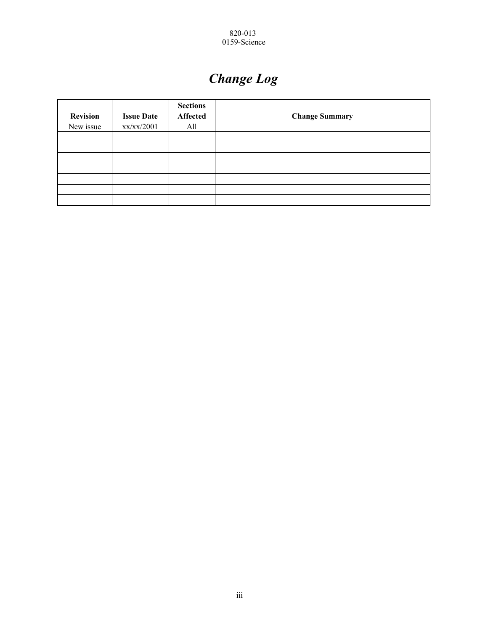## *Change Log*

| <b>Revision</b> | <b>Issue Date</b> | <b>Sections</b><br><b>Affected</b> | <b>Change Summary</b> |
|-----------------|-------------------|------------------------------------|-----------------------|
| New issue       | xx/xx/2001        | All                                |                       |
|                 |                   |                                    |                       |
|                 |                   |                                    |                       |
|                 |                   |                                    |                       |
|                 |                   |                                    |                       |
|                 |                   |                                    |                       |
|                 |                   |                                    |                       |
|                 |                   |                                    |                       |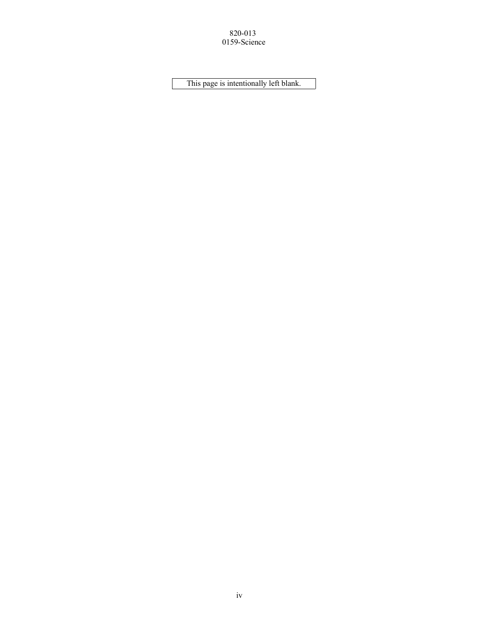This page is intentionally left blank.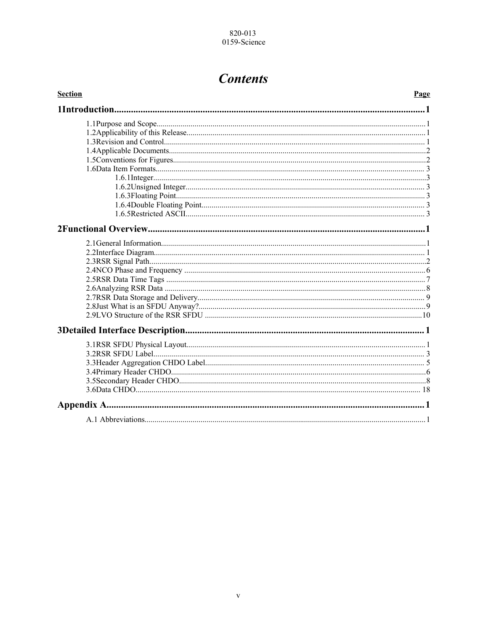| <b>Section</b> | <b>Page</b> |
|----------------|-------------|
|                |             |
|                |             |
|                |             |
|                |             |
|                |             |
|                |             |
|                |             |
|                |             |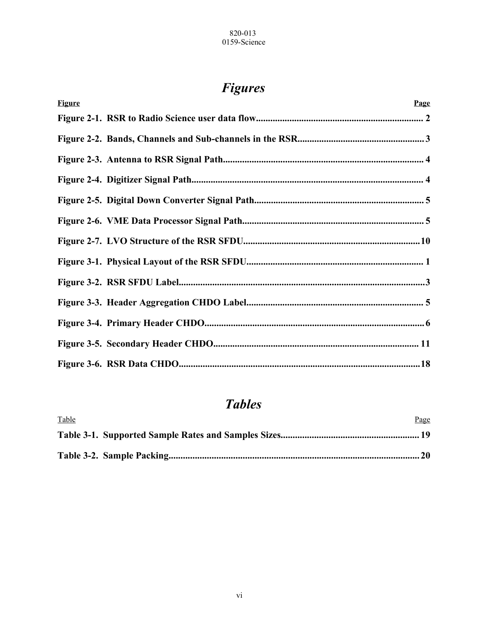## **Figures**

| <b>Figure</b> | Page |
|---------------|------|
|               |      |
|               |      |
|               |      |
|               |      |
|               |      |
|               |      |
|               |      |
|               |      |
|               |      |
|               |      |
|               |      |
|               |      |
|               |      |

## **Tables**

| Table | Page |
|-------|------|
|       |      |
|       |      |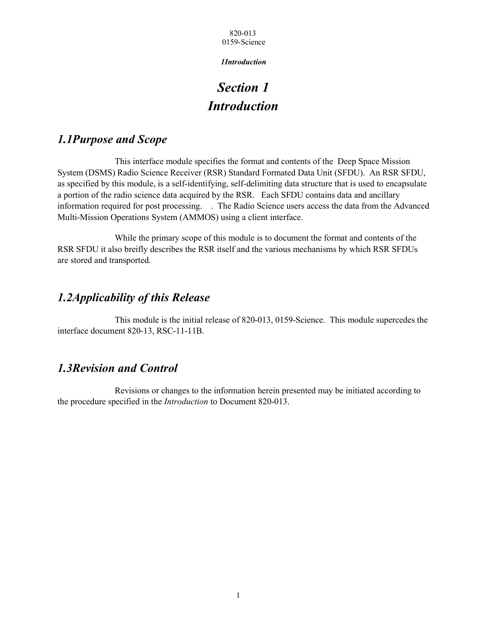#### *1Introduction*

## *Section 1 Introduction*

### *1.1Purpose and Scope*

This interface module specifies the format and contents of the Deep Space Mission System (DSMS) Radio Science Receiver (RSR) Standard Formated Data Unit (SFDU). An RSR SFDU, as specified by this module, is a self-identifying, self-delimiting data structure that is used to encapsulate a portion of the radio science data acquired by the RSR. Each SFDU contains data and ancillary information required for post processing. . The Radio Science users access the data from the Advanced Multi-Mission Operations System (AMMOS) using a client interface.

While the primary scope of this module is to document the format and contents of the RSR SFDU it also breifly describes the RSR itself and the various mechanisms by which RSR SFDUs are stored and transported.

### *1.2Applicability of this Release*

This module is the initial release of 820-013, 0159-Science. This module supercedes the interface document 820-13, RSC-11-11B.

### *1.3Revision and Control*

Revisions or changes to the information herein presented may be initiated according to the procedure specified in the *Introduction* to Document 820-013.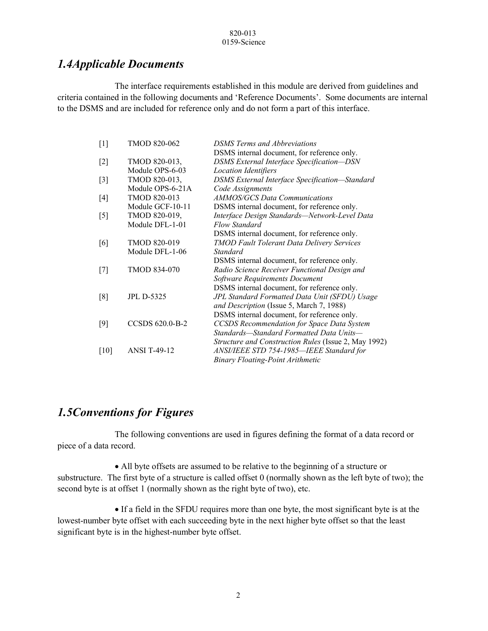### *1.4Applicable Documents*

The interface requirements established in this module are derived from guidelines and criteria contained in the following documents and 'Reference Documents'. Some documents are internal to the DSMS and are included for reference only and do not form a part of this interface.

| $[1]$                                                                                                                                                                | <b>TMOD 820-062</b> | <b>DSMS</b> Terms and Abbreviations                   |
|----------------------------------------------------------------------------------------------------------------------------------------------------------------------|---------------------|-------------------------------------------------------|
|                                                                                                                                                                      |                     | DSMS internal document, for reference only.           |
| $[2]$                                                                                                                                                                | TMOD 820-013,       | <b>DSMS</b> External Interface Specification-DSN      |
|                                                                                                                                                                      | Module OPS-6-03     | <b>Location Identifiers</b>                           |
| $[3]$                                                                                                                                                                | TMOD 820-013,       | <b>DSMS</b> External Interface Specification-Standard |
|                                                                                                                                                                      | Module OPS-6-21A    | Code Assignments                                      |
| $[4]$                                                                                                                                                                | TMOD 820-013        | <b>AMMOS/GCS Data Communications</b>                  |
|                                                                                                                                                                      | Module GCF-10-11    | DSMS internal document, for reference only.           |
| $[5]$                                                                                                                                                                | TMOD 820-019,       | Interface Design Standards-Network-Level Data         |
|                                                                                                                                                                      | Module DFL-1-01     | Flow Standard                                         |
|                                                                                                                                                                      |                     | DSMS internal document, for reference only.           |
| [6]                                                                                                                                                                  | <b>TMOD 820-019</b> | <b>TMOD Fault Tolerant Data Delivery Services</b>     |
|                                                                                                                                                                      | Module DFL-1-06     | <i>Standard</i>                                       |
|                                                                                                                                                                      |                     | DSMS internal document, for reference only.           |
| $[7] % \includegraphics[width=0.9\columnwidth]{figures/fig_10.pdf} \caption{The 3D (black) model for a different region of the parameter $\Omega$.} \label{fig:1} %$ | <b>TMOD 834-070</b> | Radio Science Receiver Functional Design and          |
|                                                                                                                                                                      |                     | Software Requirements Document                        |
|                                                                                                                                                                      |                     | DSMS internal document, for reference only.           |
| [8]                                                                                                                                                                  | <b>JPL D-5325</b>   | JPL Standard Formatted Data Unit (SFDU) Usage         |
|                                                                                                                                                                      |                     | and Description (Issue 5, March 7, 1988)              |
|                                                                                                                                                                      |                     | DSMS internal document, for reference only.           |
| $[9]$                                                                                                                                                                | CCSDS 620.0-B-2     | CCSDS Recommendation for Space Data System            |
|                                                                                                                                                                      |                     | Standards—Standard Formatted Data Units—              |
|                                                                                                                                                                      |                     | Structure and Construction Rules (Issue 2, May 1992)  |
| [10]                                                                                                                                                                 | <b>ANSI T-49-12</b> | ANSI/IEEE STD 754-1985-IEEE Standard for              |
|                                                                                                                                                                      |                     | <b>Binary Floating-Point Arithmetic</b>               |
|                                                                                                                                                                      |                     |                                                       |

### *1.5Conventions for Figures*

The following conventions are used in figures defining the format of a data record or piece of a data record.

 All byte offsets are assumed to be relative to the beginning of a structure or substructure. The first byte of a structure is called offset 0 (normally shown as the left byte of two); the second byte is at offset 1 (normally shown as the right byte of two), etc.

 If a field in the SFDU requires more than one byte, the most significant byte is at the lowest-number byte offset with each succeeding byte in the next higher byte offset so that the least significant byte is in the highest-number byte offset.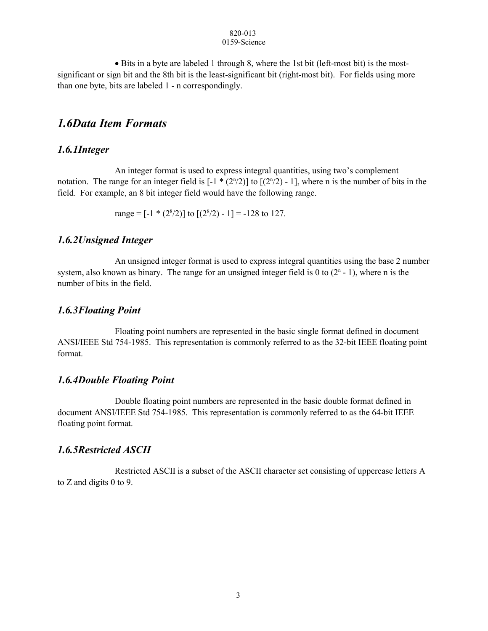Bits in a byte are labeled 1 through 8, where the 1st bit (left-most bit) is the mostsignificant or sign bit and the 8th bit is the least-significant bit (right-most bit). For fields using more than one byte, bits are labeled 1 - n correspondingly.

### *1.6Data Item Formats*

#### *1.6.1Integer*

An integer format is used to express integral quantities, using two's complement notation. The range for an integer field is  $[-1 * (2<sup>n</sup>/2)]$  to  $[(2<sup>n</sup>/2) - 1]$ , where n is the number of bits in the field. For example, an 8 bit integer field would have the following range.

range =  $[-1 * (2^8/2)]$  to  $[(2^8/2) - 1] = -128$  to 127.

### *1.6.2Unsigned Integer*

An unsigned integer format is used to express integral quantities using the base 2 number system, also known as binary. The range for an unsigned integer field is 0 to  $(2<sup>n</sup> - 1)$ , where n is the number of bits in the field.

### *1.6.3Floating Point*

Floating point numbers are represented in the basic single format defined in document ANSI/IEEE Std 754-1985. This representation is commonly referred to as the 32-bit IEEE floating point format.

### *1.6.4Double Floating Point*

Double floating point numbers are represented in the basic double format defined in document ANSI/IEEE Std 754-1985. This representation is commonly referred to as the 64-bit IEEE floating point format.

### *1.6.5Restricted ASCII*

Restricted ASCII is a subset of the ASCII character set consisting of uppercase letters A to Z and digits 0 to 9.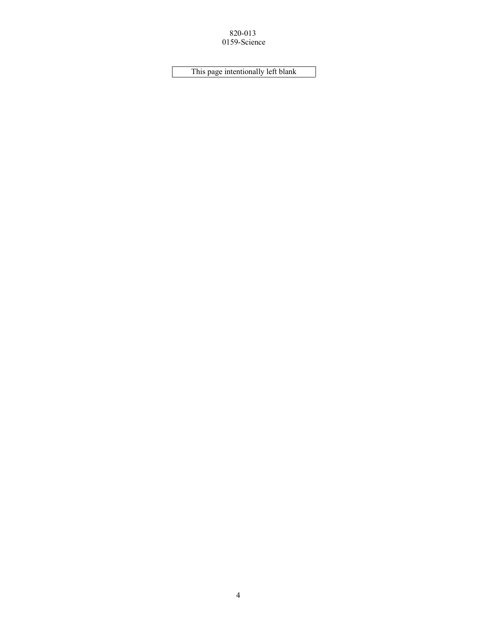This page intentionally left blank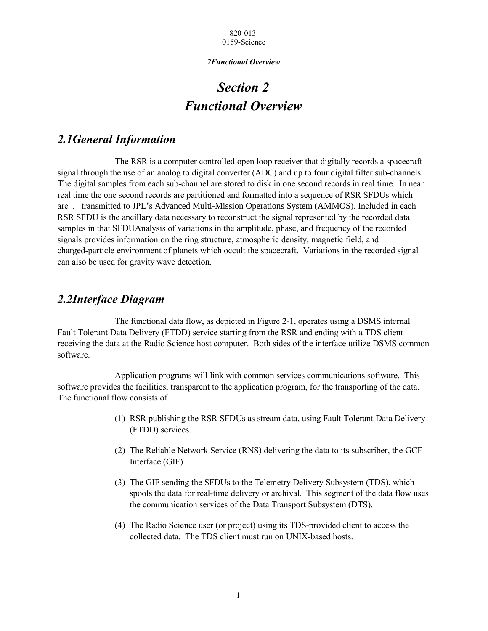#### *2Functional Overview*

## *Section 2 Functional Overview*

### *2.1General Information*

The RSR is a computer controlled open loop receiver that digitally records a spacecraft signal through the use of an analog to digital converter (ADC) and up to four digital filter sub-channels. The digital samples from each sub-channel are stored to disk in one second records in real time. In near real time the one second records are partitioned and formatted into a sequence of RSR SFDUs which are . transmitted to JPL's Advanced Multi-Mission Operations System (AMMOS). Included in each RSR SFDU is the ancillary data necessary to reconstruct the signal represented by the recorded data samples in that SFDUAnalysis of variations in the amplitude, phase, and frequency of the recorded signals provides information on the ring structure, atmospheric density, magnetic field, and charged-particle environment of planets which occult the spacecraft. Variations in the recorded signal can also be used for gravity wave detection.

### *2.2Interface Diagram*

The functional data flow, as depicted in Figure 2-1, operates using a DSMS internal Fault Tolerant Data Delivery (FTDD) service starting from the RSR and ending with a TDS client receiving the data at the Radio Science host computer. Both sides of the interface utilize DSMS common software.

Application programs will link with common services communications software. This software provides the facilities, transparent to the application program, for the transporting of the data. The functional flow consists of

- (1) RSR publishing the RSR SFDUs as stream data, using Fault Tolerant Data Delivery (FTDD) services.
- (2) The Reliable Network Service (RNS) delivering the data to its subscriber, the GCF Interface (GIF).
- (3) The GIF sending the SFDUs to the Telemetry Delivery Subsystem (TDS), which spools the data for real-time delivery or archival. This segment of the data flow uses the communication services of the Data Transport Subsystem (DTS).
- (4) The Radio Science user (or project) using its TDS-provided client to access the collected data. The TDS client must run on UNIX-based hosts.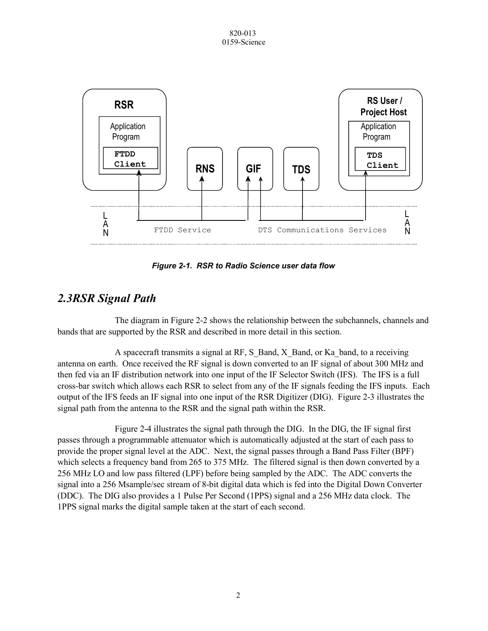

*Figure 2-1. RSR to Radio Science user data flow*

### *2.3RSR Signal Path*

The diagram in Figure 2-2 shows the relationship between the subchannels, channels and bands that are supported by the RSR and described in more detail in this section.

A spacecraft transmits a signal at RF, S\_Band, X\_Band, or Ka\_band, to a receiving antenna on earth. Once received the RF signal is down converted to an IF signal of about 300 MHz and then fed via an IF distribution network into one input of the IF Selector Switch (IFS). The IFS is a full cross-bar switch which allows each RSR to select from any of the IF signals feeding the IFS inputs. Each output of the IFS feeds an IF signal into one input of the RSR Digitizer (DIG). Figure 2-3 illustrates the signal path from the antenna to the RSR and the signal path within the RSR.

Figure 2-4 illustrates the signal path through the DIG. In the DIG, the IF signal first passes through a programmable attenuator which is automatically adjusted at the start of each pass to provide the proper signal level at the ADC. Next, the signal passes through a Band Pass Filter (BPF) which selects a frequency band from 265 to 375 MHz. The filtered signal is then down converted by a 256 MHz LO and low pass filtered (LPF) before being sampled by the ADC. The ADC converts the signal into a 256 Msample/sec stream of 8-bit digital data which is fed into the Digital Down Converter (DDC). The DIG also provides a 1 Pulse Per Second (1PPS) signal and a 256 MHz data clock. The 1PPS signal marks the digital sample taken at the start of each second.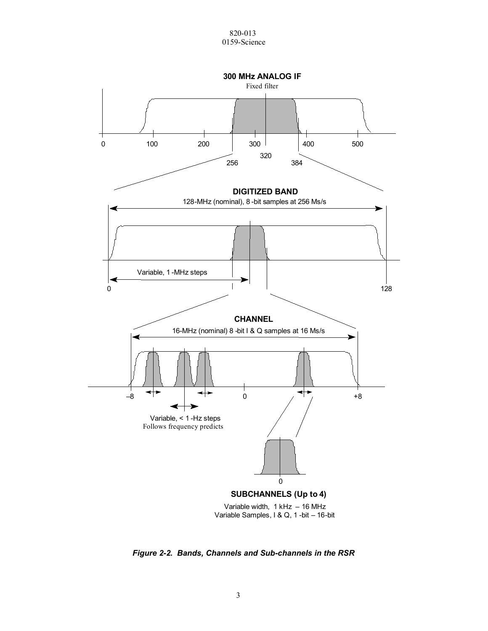

*Figure 2-2. Bands, Channels and Sub-channels in the RSR*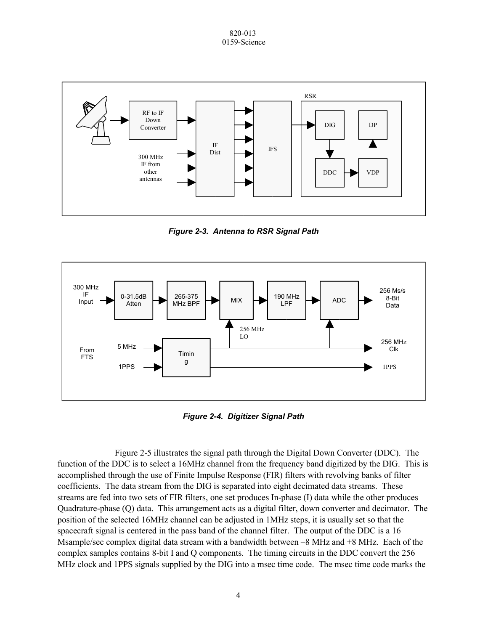

*Figure 2-3. Antenna to RSR Signal Path*



*Figure 2-4. Digitizer Signal Path*

Figure 2-5 illustrates the signal path through the Digital Down Converter (DDC). The function of the DDC is to select a 16MHz channel from the frequency band digitized by the DIG. This is accomplished through the use of Finite Impulse Response (FIR) filters with revolving banks of filter coefficients. The data stream from the DIG is separated into eight decimated data streams. These streams are fed into two sets of FIR filters, one set produces In-phase (I) data while the other produces Quadrature-phase (Q) data. This arrangement acts as a digital filter, down converter and decimator. The position of the selected 16MHz channel can be adjusted in 1MHz steps, it is usually set so that the spacecraft signal is centered in the pass band of the channel filter. The output of the DDC is a 16 Msample/sec complex digital data stream with a bandwidth between –8 MHz and +8 MHz. Each of the complex samples contains 8-bit I and Q components. The timing circuits in the DDC convert the 256 MHz clock and 1PPS signals supplied by the DIG into a msec time code. The msec time code marks the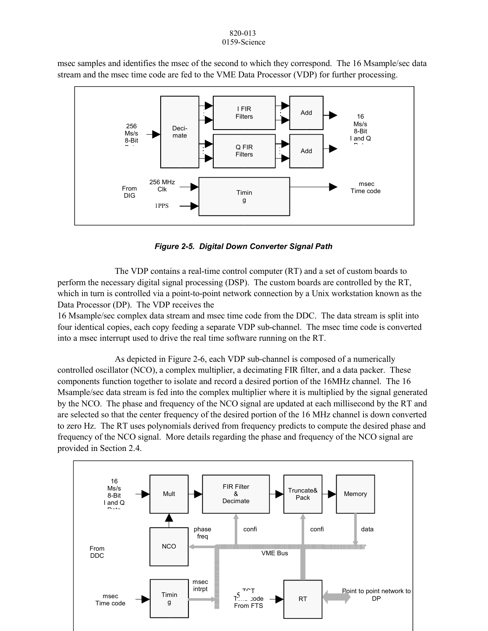msec samples and identifies the msec of the second to which they correspond. The 16 Msample/sec data stream and the msec time code are fed to the VME Data Processor (VDP) for further processing.



*Figure 2-5. Digital Down Converter Signal Path*

The VDP contains a real-time control computer (RT) and a set of custom boards to perform the necessary digital signal processing (DSP). The custom boards are controlled by the RT, which in turn is controlled via a point-to-point network connection by a Unix workstation known as the Data Processor (DP). The VDP receives the

16 Msample/sec complex data stream and msec time code from the DDC. The data stream is split into four identical copies, each copy feeding a separate VDP sub-channel. The msec time code is converted into a msec interrupt used to drive the real time software running on the RT.

As depicted in Figure 2-6, each VDP sub-channel is composed of a numerically controlled oscillator (NCO), a complex multiplier, a decimating FIR filter, and a data packer. These components function together to isolate and record a desired portion of the 16MHz channel. The 16 Msample/sec data stream is fed into the complex multiplier where it is multiplied by the signal generated by the NCO. The phase and frequency of the NCO signal are updated at each millisecond by the RT and are selected so that the center frequency of the desired portion of the 16 MHz channel is down converted to zero Hz. The RT uses polynomials derived from frequency predicts to compute the desired phase and frequency of the NCO signal. More details regarding the phase and frequency of the NCO signal are provided in Section 2.4.

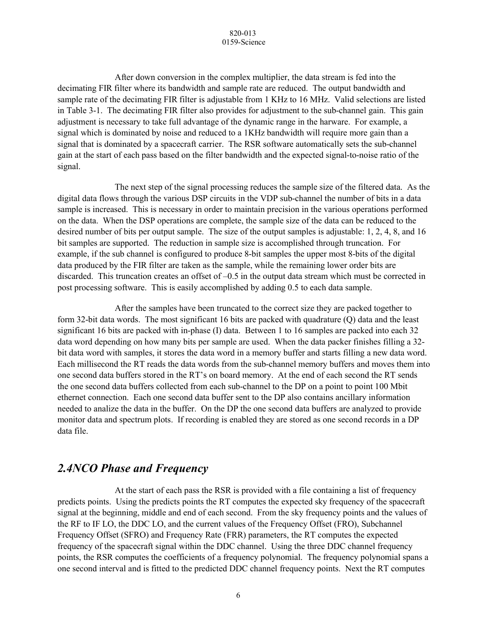After down conversion in the complex multiplier, the data stream is fed into the decimating FIR filter where its bandwidth and sample rate are reduced. The output bandwidth and sample rate of the decimating FIR filter is adjustable from 1 KHz to 16 MHz. Valid selections are listed in Table 3-1. The decimating FIR filter also provides for adjustment to the sub-channel gain. This gain adjustment is necessary to take full advantage of the dynamic range in the harware. For example, a signal which is dominated by noise and reduced to a 1KHz bandwidth will require more gain than a signal that is dominated by a spacecraft carrier. The RSR software automatically sets the sub-channel gain at the start of each pass based on the filter bandwidth and the expected signal-to-noise ratio of the signal.

The next step of the signal processing reduces the sample size of the filtered data. As the digital data flows through the various DSP circuits in the VDP sub-channel the number of bits in a data sample is increased. This is necessary in order to maintain precision in the various operations performed on the data. When the DSP operations are complete, the sample size of the data can be reduced to the desired number of bits per output sample. The size of the output samples is adjustable: 1, 2, 4, 8, and 16 bit samples are supported. The reduction in sample size is accomplished through truncation. For example, if the sub channel is configured to produce 8-bit samples the upper most 8-bits of the digital data produced by the FIR filter are taken as the sample, while the remaining lower order bits are discarded. This truncation creates an offset of –0.5 in the output data stream which must be corrected in post processing software. This is easily accomplished by adding 0.5 to each data sample.

After the samples have been truncated to the correct size they are packed together to form 32-bit data words. The most significant 16 bits are packed with quadrature (Q) data and the least significant 16 bits are packed with in-phase (I) data. Between 1 to 16 samples are packed into each 32 data word depending on how many bits per sample are used. When the data packer finishes filling a 32 bit data word with samples, it stores the data word in a memory buffer and starts filling a new data word. Each millisecond the RT reads the data words from the sub-channel memory buffers and moves them into one second data buffers stored in the RT's on board memory. At the end of each second the RT sends the one second data buffers collected from each sub-channel to the DP on a point to point 100 Mbit ethernet connection. Each one second data buffer sent to the DP also contains ancillary information needed to analize the data in the buffer. On the DP the one second data buffers are analyzed to provide monitor data and spectrum plots. If recording is enabled they are stored as one second records in a DP data file.

### *2.4NCO Phase and Frequency*

At the start of each pass the RSR is provided with a file containing a list of frequency predicts points. Using the predicts points the RT computes the expected sky frequency of the spacecraft signal at the beginning, middle and end of each second. From the sky frequency points and the values of the RF to IF LO, the DDC LO, and the current values of the Frequency Offset (FRO), Subchannel Frequency Offset (SFRO) and Frequency Rate (FRR) parameters, the RT computes the expected frequency of the spacecraft signal within the DDC channel. Using the three DDC channel frequency points, the RSR computes the coefficients of a frequency polynomial. The frequency polynomial spans a one second interval and is fitted to the predicted DDC channel frequency points. Next the RT computes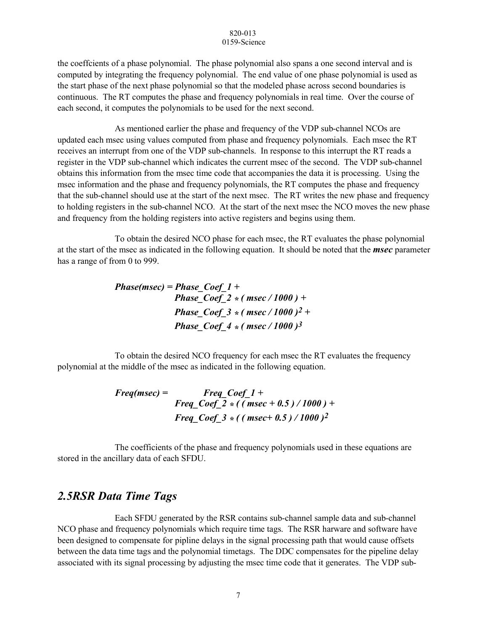the coeffcients of a phase polynomial. The phase polynomial also spans a one second interval and is computed by integrating the frequency polynomial. The end value of one phase polynomial is used as the start phase of the next phase polynomial so that the modeled phase across second boundaries is continuous. The RT computes the phase and frequency polynomials in real time. Over the course of each second, it computes the polynomials to be used for the next second.

As mentioned earlier the phase and frequency of the VDP sub-channel NCOs are updated each msec using values computed from phase and frequency polynomials. Each msec the RT receives an interrupt from one of the VDP sub-channels. In response to this interrupt the RT reads a register in the VDP sub-channel which indicates the current msec of the second. The VDP sub-channel obtains this information from the msec time code that accompanies the data it is processing. Using the msec information and the phase and frequency polynomials, the RT computes the phase and frequency that the sub-channel should use at the start of the next msec. The RT writes the new phase and frequency to holding registers in the sub-channel NCO. At the start of the next msec the NCO moves the new phase and frequency from the holding registers into active registers and begins using them.

To obtain the desired NCO phase for each msec, the RT evaluates the phase polynomial at the start of the msec as indicated in the following equation. It should be noted that the *msec* parameter has a range of from 0 to 999.

> *Phase(msec) = Phase\_Coef\_1 + Phase\_Coef\_2 \* ( msec / 1000 ) + Phase\_Coef\_3 \* ( msec / 1000 )2 + Phase\_Coef\_4 \* ( msec / 1000 )3*

To obtain the desired NCO frequency for each msec the RT evaluates the frequency polynomial at the middle of the msec as indicated in the following equation.

> *Freq(msec) = Freq\_Coef\_1 + Freq\_Coef\_2 \* ( ( msec + 0.5 ) / 1000 ) + Freq\_Coef\_3 \* ( ( msec+ 0.5 ) / 1000 )2*

The coefficients of the phase and frequency polynomials used in these equations are stored in the ancillary data of each SFDU.

### *2.5RSR Data Time Tags*

Each SFDU generated by the RSR contains sub-channel sample data and sub-channel NCO phase and frequency polynomials which require time tags. The RSR harware and software have been designed to compensate for pipline delays in the signal processing path that would cause offsets between the data time tags and the polynomial timetags. The DDC compensates for the pipeline delay associated with its signal processing by adjusting the msec time code that it generates. The VDP sub-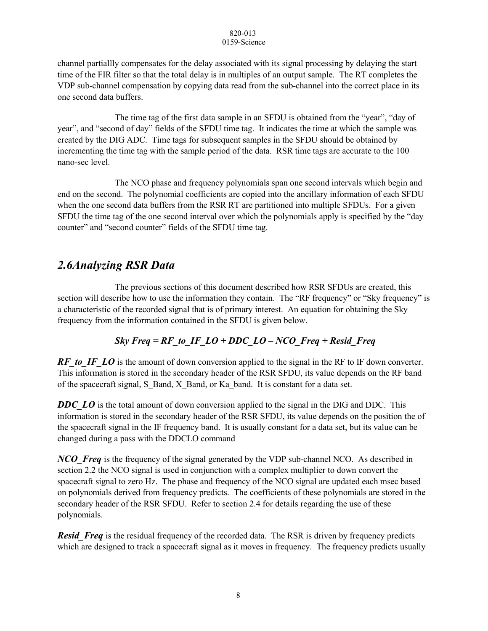channel partiallly compensates for the delay associated with its signal processing by delaying the start time of the FIR filter so that the total delay is in multiples of an output sample. The RT completes the VDP sub-channel compensation by copying data read from the sub-channel into the correct place in its one second data buffers.

The time tag of the first data sample in an SFDU is obtained from the "year", "day of year", and "second of day" fields of the SFDU time tag. It indicates the time at which the sample was created by the DIG ADC. Time tags for subsequent samples in the SFDU should be obtained by incrementing the time tag with the sample period of the data. RSR time tags are accurate to the 100 nano-sec level.

The NCO phase and frequency polynomials span one second intervals which begin and end on the second. The polynomial coefficients are copied into the ancillary information of each SFDU when the one second data buffers from the RSR RT are partitioned into multiple SFDUs. For a given SFDU the time tag of the one second interval over which the polynomials apply is specified by the "day counter" and "second counter" fields of the SFDU time tag.

### *2.6Analyzing RSR Data*

The previous sections of this document described how RSR SFDUs are created, this section will describe how to use the information they contain. The "RF frequency" or "Sky frequency" is a characteristic of the recorded signal that is of primary interest. An equation for obtaining the Sky frequency from the information contained in the SFDU is given below.

### *Sky Freq = RF\_to\_IF\_LO + DDC\_LO – NCO\_Freq + Resid\_Freq*

*RF\_to\_IF\_LO* is the amount of down conversion applied to the signal in the RF to IF down converter. This information is stored in the secondary header of the RSR SFDU, its value depends on the RF band of the spacecraft signal, S\_Band, X\_Band, or Ka\_band. It is constant for a data set.

**DDC** LO is the total amount of down conversion applied to the signal in the DIG and DDC. This information is stored in the secondary header of the RSR SFDU, its value depends on the position the of the spacecraft signal in the IF frequency band. It is usually constant for a data set, but its value can be changed during a pass with the DDCLO command

*NCO\_Freq* is the frequency of the signal generated by the VDP sub-channel NCO. As described in section 2.2 the NCO signal is used in conjunction with a complex multiplier to down convert the spacecraft signal to zero Hz. The phase and frequency of the NCO signal are updated each msec based on polynomials derived from frequency predicts. The coefficients of these polynomials are stored in the secondary header of the RSR SFDU. Refer to section 2.4 for details regarding the use of these polynomials.

*Resid Freq* is the residual frequency of the recorded data. The RSR is driven by frequency predicts which are designed to track a spacecraft signal as it moves in frequency. The frequency predicts usually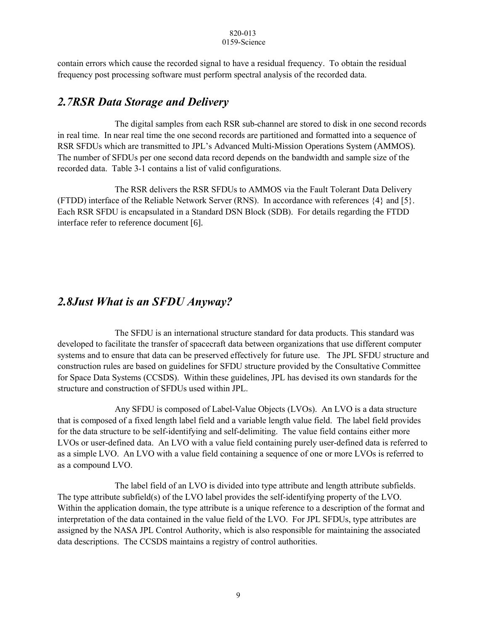contain errors which cause the recorded signal to have a residual frequency. To obtain the residual frequency post processing software must perform spectral analysis of the recorded data.

### *2.7RSR Data Storage and Delivery*

The digital samples from each RSR sub-channel are stored to disk in one second records in real time. In near real time the one second records are partitioned and formatted into a sequence of RSR SFDUs which are transmitted to JPL's Advanced Multi-Mission Operations System (AMMOS). The number of SFDUs per one second data record depends on the bandwidth and sample size of the recorded data. Table 3-1 contains a list of valid configurations.

The RSR delivers the RSR SFDUs to AMMOS via the Fault Tolerant Data Delivery (FTDD) interface of the Reliable Network Server (RNS). In accordance with references {4} and [5}. Each RSR SFDU is encapsulated in a Standard DSN Block (SDB). For details regarding the FTDD interface refer to reference document [6].

### *2.8Just What is an SFDU Anyway?*

The SFDU is an international structure standard for data products. This standard was developed to facilitate the transfer of spacecraft data between organizations that use different computer systems and to ensure that data can be preserved effectively for future use. The JPL SFDU structure and construction rules are based on guidelines for SFDU structure provided by the Consultative Committee for Space Data Systems (CCSDS). Within these guidelines, JPL has devised its own standards for the structure and construction of SFDUs used within JPL.

Any SFDU is composed of Label-Value Objects (LVOs). An LVO is a data structure that is composed of a fixed length label field and a variable length value field. The label field provides for the data structure to be self-identifying and self-delimiting. The value field contains either more LVOs or user-defined data. An LVO with a value field containing purely user-defined data is referred to as a simple LVO. An LVO with a value field containing a sequence of one or more LVOs is referred to as a compound LVO.

The label field of an LVO is divided into type attribute and length attribute subfields. The type attribute subfield(s) of the LVO label provides the self-identifying property of the LVO. Within the application domain, the type attribute is a unique reference to a description of the format and interpretation of the data contained in the value field of the LVO. For JPL SFDUs, type attributes are assigned by the NASA JPL Control Authority, which is also responsible for maintaining the associated data descriptions. The CCSDS maintains a registry of control authorities.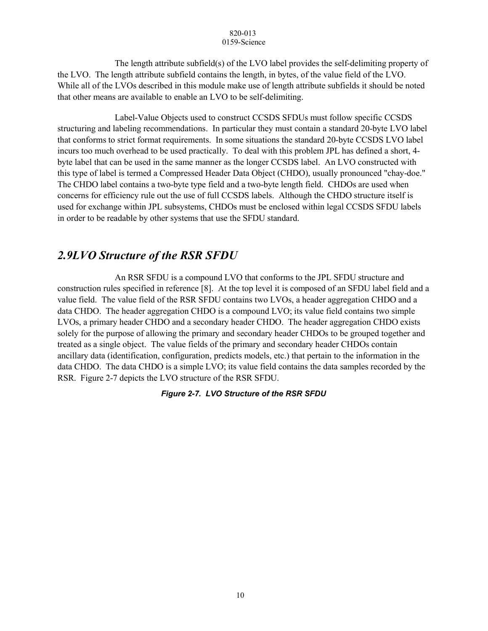The length attribute subfield(s) of the LVO label provides the self-delimiting property of the LVO. The length attribute subfield contains the length, in bytes, of the value field of the LVO. While all of the LVOs described in this module make use of length attribute subfields it should be noted that other means are available to enable an LVO to be self-delimiting.

Label-Value Objects used to construct CCSDS SFDUs must follow specific CCSDS structuring and labeling recommendations. In particular they must contain a standard 20-byte LVO label that conforms to strict format requirements. In some situations the standard 20-byte CCSDS LVO label incurs too much overhead to be used practically. To deal with this problem JPL has defined a short, 4 byte label that can be used in the same manner as the longer CCSDS label. An LVO constructed with this type of label is termed a Compressed Header Data Object (CHDO), usually pronounced "chay-doe." The CHDO label contains a two-byte type field and a two-byte length field. CHDOs are used when concerns for efficiency rule out the use of full CCSDS labels. Although the CHDO structure itself is used for exchange within JPL subsystems, CHDOs must be enclosed within legal CCSDS SFDU labels in order to be readable by other systems that use the SFDU standard.

### *2.9LVO Structure of the RSR SFDU*

An RSR SFDU is a compound LVO that conforms to the JPL SFDU structure and construction rules specified in reference [8]. At the top level it is composed of an SFDU label field and a value field. The value field of the RSR SFDU contains two LVOs, a header aggregation CHDO and a data CHDO. The header aggregation CHDO is a compound LVO; its value field contains two simple LVOs, a primary header CHDO and a secondary header CHDO. The header aggregation CHDO exists solely for the purpose of allowing the primary and secondary header CHDOs to be grouped together and treated as a single object. The value fields of the primary and secondary header CHDOs contain ancillary data (identification, configuration, predicts models, etc.) that pertain to the information in the data CHDO. The data CHDO is a simple LVO; its value field contains the data samples recorded by the RSR. Figure 2-7 depicts the LVO structure of the RSR SFDU.

#### *Figure 2-7. LVO Structure of the RSR SFDU*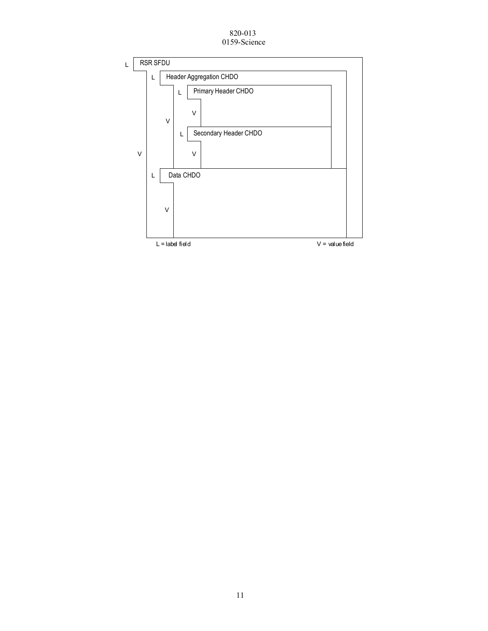820-013 0159-Science

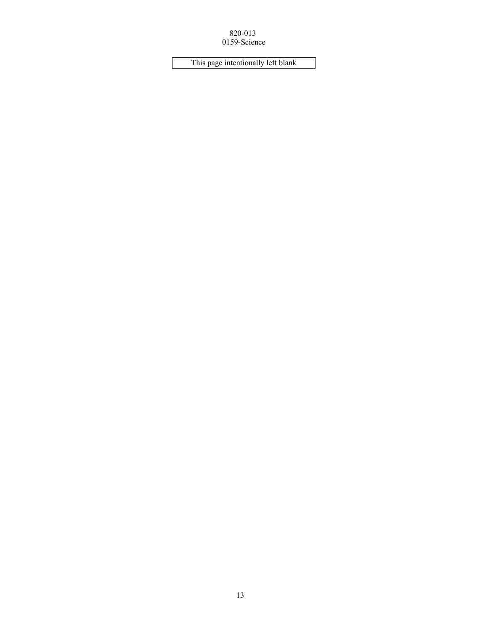This page intentionally left blank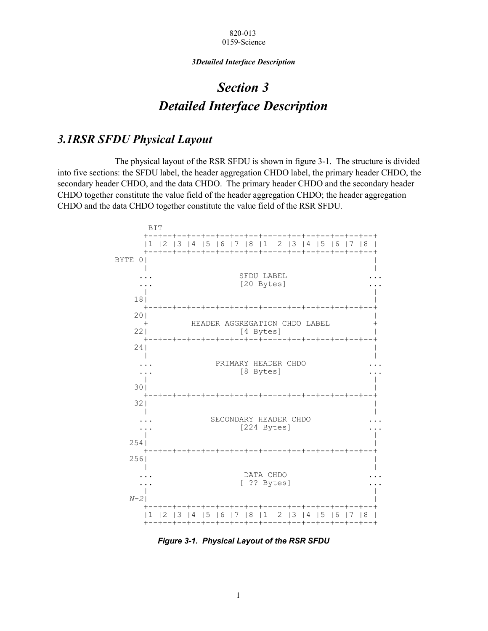#### *3Detailed Interface Description*

## *Section 3 Detailed Interface Description*

### *3.1RSR SFDU Physical Layout*

The physical layout of the RSR SFDU is shown in figure 3-1. The structure is divided into five sections: the SFDU label, the header aggregation CHDO label, the primary header CHDO, the secondary header CHDO, and the data CHDO. The primary header CHDO and the secondary header CHDO together constitute the value field of the header aggregation CHDO; the header aggregation CHDO and the data CHDO together constitute the value field of the RSR SFDU.



*Figure 3-1. Physical Layout of the RSR SFDU*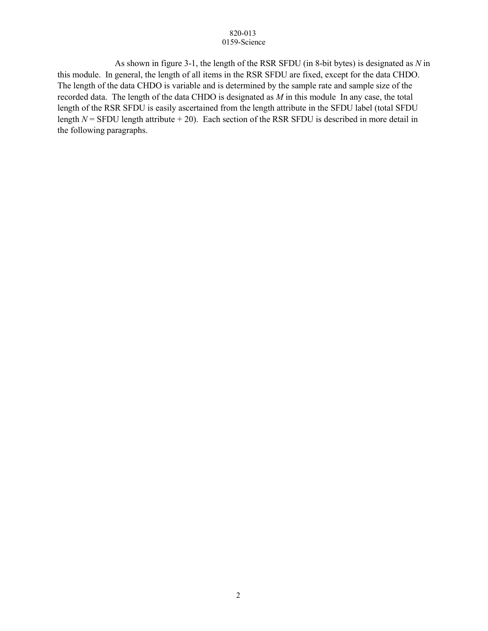As shown in figure 3-1, the length of the RSR SFDU (in 8-bit bytes) is designated as *N* in this module. In general, the length of all items in the RSR SFDU are fixed, except for the data CHDO. The length of the data CHDO is variable and is determined by the sample rate and sample size of the recorded data. The length of the data CHDO is designated as *M* in this module In any case, the total length of the RSR SFDU is easily ascertained from the length attribute in the SFDU label (total SFDU length  $N =$  SFDU length attribute  $+ 20$ ). Each section of the RSR SFDU is described in more detail in the following paragraphs.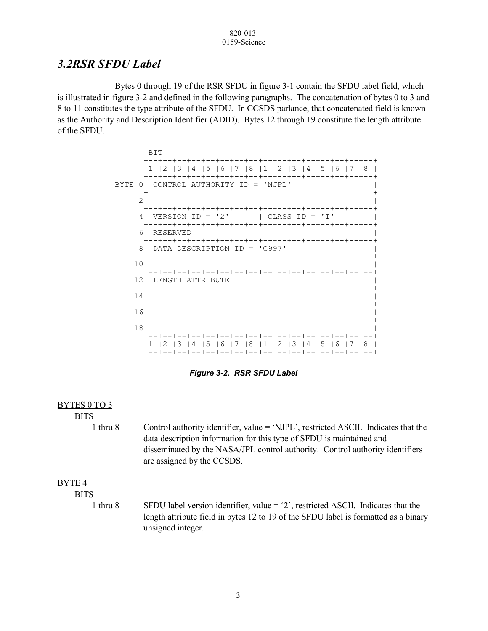### *3.2RSR SFDU Label*

Bytes 0 through 19 of the RSR SFDU in figure 3-1 contain the SFDU label field, which is illustrated in figure 3-2 and defined in the following paragraphs. The concatenation of bytes 0 to 3 and 8 to 11 constitutes the type attribute of the SFDU. In CCSDS parlance, that concatenated field is known as the Authority and Description Identifier (ADID). Bytes 12 through 19 constitute the length attribute of the SFDU.

> BIT +--+--+--+--+--+--+--+--+--+--+--+--+--+--+--+--+ |1 |2 |3 |4 |5 |6 |7 |8 |1 |2 |3 |4 |5 |6 |7 |8 | +--+--+--+--+--+--+--+--+--+--+--+--+--+--+--+--+ BYTE 0| CONTROL AUTHORITY ID = 'NJPL'  $+$  +  $+$  $2$  | +--+--+--+--+--+--+--+--+--+--+--+--+--+--+--+--+ 4| VERSION ID =  $'2'$  | CLASS ID =  $'I'$  +--+--+--+--+--+--+--+--+--+--+--+--+--+--+--+--+ 6| RESERVED | +--+--+--+--+--+--+--+--+--+--+--+--+--+--+--+--+ 8| DATA DESCRIPTION ID = 'C997' |  $+$  +  $+$  $10$  | +--+--+--+--+--+--+--+--+--+--+--+--+--+--+--+--+ 12| LENGTH ATTRIBUTE  $\qquad$  +  $+$  +  $+$  $14$  |  $+$  +  $+$  $16$ |  $+$  +  $18$ | +--+--+--+--+--+--+--+--+--+--+--+--+--+--+--+--+ |1 |2 |3 |4 |5 |6 |7 |8 |1 |2 |3 |4 |5 |6 |7 |8 | +--+--+--+--+--+--+--+--+--+--+--+--+--+--+--+--+

*Figure 3-2. RSR SFDU Label*

#### BYTES 0 TO 3

**BITS** 

1 thru 8 Control authority identifier, value = 'NJPL', restricted ASCII. Indicates that the data description information for this type of SFDU is maintained and disseminated by the NASA/JPL control authority. Control authority identifiers are assigned by the CCSDS.

#### BYTE 4

BITS

1 thru 8 SFDU label version identifier, value = '2', restricted ASCII. Indicates that the length attribute field in bytes 12 to 19 of the SFDU label is formatted as a binary unsigned integer.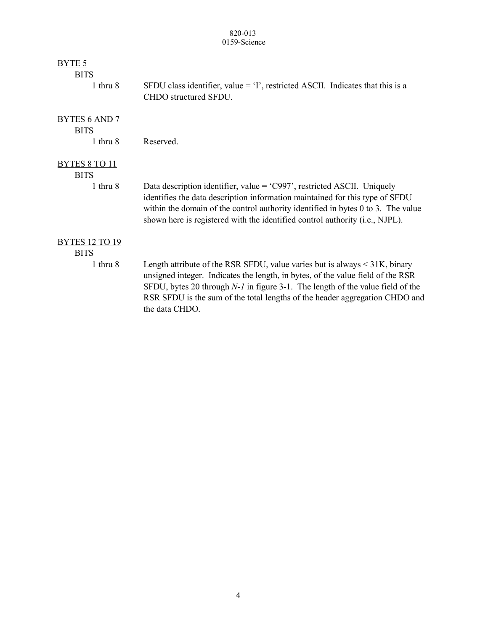| BYTE 5<br><b>BITS</b><br>$1$ thru $8$                | SFDU class identifier, value = $T$ , restricted ASCII. Indicates that this is a<br>CHDO structured SFDU.                                                                                                                                                                                                                                              |
|------------------------------------------------------|-------------------------------------------------------------------------------------------------------------------------------------------------------------------------------------------------------------------------------------------------------------------------------------------------------------------------------------------------------|
| BYTES 6 AND 7<br><b>BITS</b><br>$1$ thru $8$         | Reserved                                                                                                                                                                                                                                                                                                                                              |
| <b>BYTES 8 TO 11</b><br><b>BITS</b><br>$1$ thru $8$  | Data description identifier, value = 'C997', restricted ASCII. Uniquely<br>identifies the data description information maintained for this type of SFDU<br>within the domain of the control authority identified in bytes 0 to 3. The value<br>shown here is registered with the identified control authority (i.e., NJPL).                           |
| <b>BYTES 12 TO 19</b><br><b>BITS</b><br>$1$ thru $8$ | Length attribute of the RSR SFDU, value varies but is always $\leq$ 31K, binary<br>unsigned integer. Indicates the length, in bytes, of the value field of the RSR<br>SFDU, bytes 20 through N-1 in figure 3-1. The length of the value field of the<br>RSR SFDU is the sum of the total lengths of the header aggregation CHDO and<br>the data CHDO. |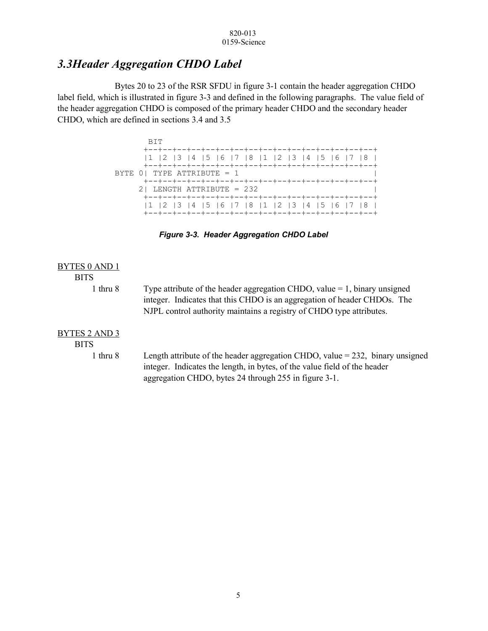### *3.3Header Aggregation CHDO Label*

Bytes 20 to 23 of the RSR SFDU in figure 3-1 contain the header aggregation CHDO label field, which is illustrated in figure 3-3 and defined in the following paragraphs. The value field of the header aggregation CHDO is composed of the primary header CHDO and the secondary header CHDO, which are defined in sections 3.4 and 3.5

| RТT                                            |  |
|------------------------------------------------|--|
| 1  2  3  4  5  6  7  8  1  2  3  4  5  6  7  8 |  |
| BYTE 01 TYPE ATTRIBUTE = 1                     |  |
| 2  LENGTH ATTRIBUTE = 232                      |  |
| 1  2  3  4  5  6  7  8  1  2  3  4  5  6  7  8 |  |
|                                                |  |

*Figure 3-3. Header Aggregation CHDO Label*

#### BYTES 0 AND 1 **BITS**

1 thru 8 Type attribute of the header aggregation CHDO, value = 1, binary unsigned integer. Indicates that this CHDO is an aggregation of header CHDOs. The NJPL control authority maintains a registry of CHDO type attributes.

#### BYTES 2 AND 3 **BITS**

1 thru 8 Length attribute of the header aggregation CHDO, value = 232, binary unsigned integer. Indicates the length, in bytes, of the value field of the header aggregation CHDO, bytes 24 through 255 in figure 3-1.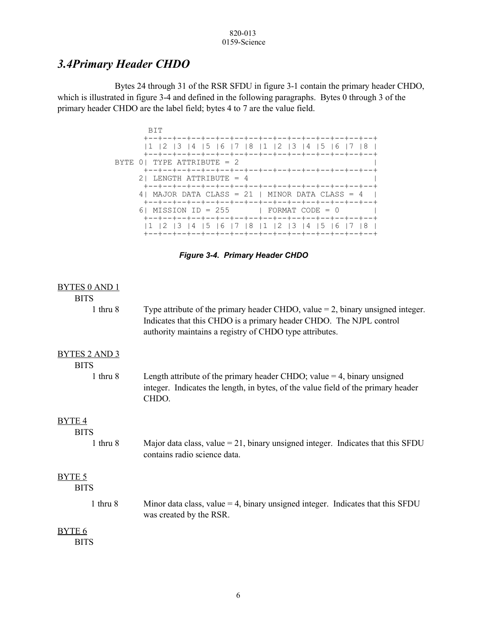## *3.4Primary Header CHDO*

Bytes 24 through 31 of the RSR SFDU in figure 3-1 contain the primary header CHDO, which is illustrated in figure 3-4 and defined in the following paragraphs. Bytes 0 through 3 of the primary header CHDO are the label field; bytes 4 to 7 are the value field.

|      | BIT                                                |              |
|------|----------------------------------------------------|--------------|
|      | 1  2  3  4  5  6  7  8  1  2  3  4  5  6  7  8     | $\mathbf{I}$ |
| BYTE | TYPE ATTRIBUTE = $2$<br>(11                        |              |
|      | 2 LENGTH ATTRIBUTE = $4$                           |              |
|      | 4   MAJOR DATA CLASS = 21   MINOR DATA CLASS = 4   |              |
|      | 6 MISSION ID = $255$ $\phantom{1}$ FORMAT CODE = 0 |              |
|      | 1  2  3  4  5  6  7  8  1  2  3  4  5  6  7  8     |              |

*Figure 3-4. Primary Header CHDO*

| <b>BYTES 0 AND 1</b>             |                                                                                                                                                                                                                     |
|----------------------------------|---------------------------------------------------------------------------------------------------------------------------------------------------------------------------------------------------------------------|
| <b>BITS</b>                      |                                                                                                                                                                                                                     |
| $1$ thru $8$                     | Type attribute of the primary header CHDO, value $= 2$ , binary unsigned integer.<br>Indicates that this CHDO is a primary header CHDO. The NJPL control<br>authority maintains a registry of CHDO type attributes. |
| BYTES 2 AND 3<br><b>BITS</b>     |                                                                                                                                                                                                                     |
| $1$ thru $8$                     | Length attribute of the primary header CHDO; value $=$ 4, binary unsigned<br>integer. Indicates the length, in bytes, of the value field of the primary header<br>CHDO.                                             |
| BYTE <sub>4</sub><br><b>BITS</b> |                                                                                                                                                                                                                     |
| $1$ thru $8$                     | Major data class, value $= 21$ , binary unsigned integer. Indicates that this SFDU<br>contains radio science data.                                                                                                  |
| BYTE 5<br><b>BITS</b>            |                                                                                                                                                                                                                     |
| $1$ thru $8$                     | Minor data class, value = 4, binary unsigned integer. Indicates that this SFDU<br>was created by the RSR.                                                                                                           |
| BYTE 6<br><b>BITS</b>            |                                                                                                                                                                                                                     |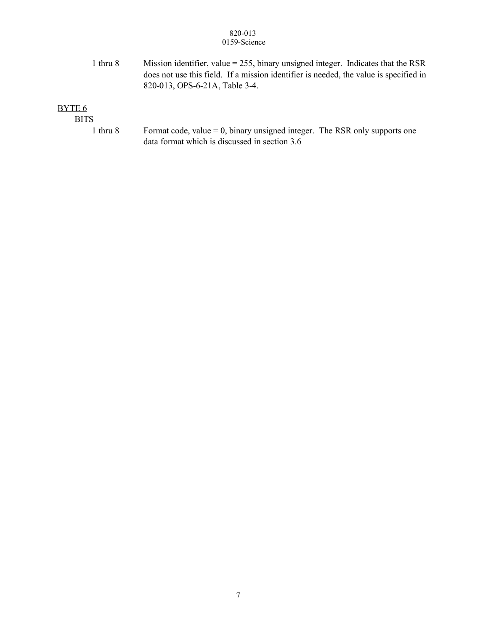1 thru 8 Mission identifier, value = 255, binary unsigned integer. Indicates that the RSR does not use this field. If a mission identifier is needed, the value is specified in 820-013, OPS-6-21A, Table 3-4.

#### BYTE 6

BITS

1 thru 8 Format code, value = 0, binary unsigned integer. The RSR only supports one data format which is discussed in section 3.6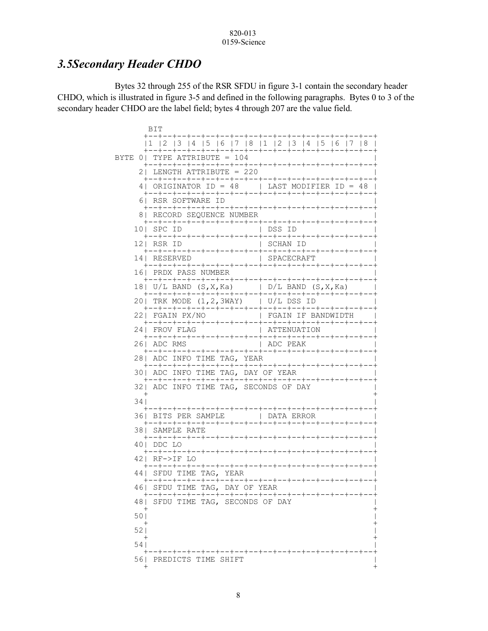### *3.5Secondary Header CHDO*

Bytes 32 through 255 of the RSR SFDU in figure 3-1 contain the secondary header CHDO, which is illustrated in figure 3-5 and defined in the following paragraphs. Bytes 0 to 3 of the secondary header CHDO are the label field; bytes 4 through 207 are the value field.

> **BIT**  +--+--+--+--+--+--+--+--+--+--+--+--+--+--+--+--+ |1 |2 |3 |4 |5 |6 |7 |8 |1 |2 |3 |4 |5 |6 |7 |8 | +--+--+--+--+--+--+--+--+--+--+--+--+--+--+--+--+ BYTE  $0$ | TYPE ATTRIBUTE = 104 +--+--+--+--+--+--+--+--+--+--+--+--+--+--+--+--+ 2| LENGTH ATTRIBUTE = 220 | +--+--+--+--+--+--+--+--+--+--+--+--+--+--+--+--+ 4| ORIGINATOR ID = 48 | LAST MODIFIER ID = 48 | +--+--+--+--+--+--+--+--+--+--+--+--+--+--+--+--+ 6| RSR SOFTWARE ID | +--+--+--+--+--+--+--+--+--+--+--+--+--+--+--+--+ 8| RECORD SEQUENCE NUMBER | +--+--+--+--+--+--+--+--+--+--+--+--+--+--+--+--+ 10| SPC ID +--+--+--+--+--+--+--+--+--+--+--+--+--+--+--+--+ | SCHAN ID +--+--+--+--+--+--+--+--+--+--+--+--+--+--+--+--+ | SPACECRAFT +--+--+--+--+--+--+--+--+--+--+--+--+--+--+--+--+ 16| PRDX PASS NUMBER | +--+--+--+--+--+--+--+--+--+--+--+--+--+--+--+--+ 18| U/L BAND  $(S,X,Ka)$  | D/L BAND  $(S,X,Ka)$  +--+--+--+--+--+--+--+--+--+--+--+--+--+--+--+--+ 20| TRK MODE (1,2,3WAY) | U/L DSS ID | +--+--+--+--+--+--+--+--+--+--+--+--+--+--+--+--+ 22| FGAIN PX/NO | FGAIN IF BANDWIDTH +--+--+--+--+--+--+--+--+--+--+--+--+--+--+--+--+ | ATTENUATION +--+--+--+--+--+--+--+--+--+--+--+--+--+--+--+--+ 26| ADC RMS +--+--+--+--+--+--+--+--+--+--+--+--+--+--+--+--+ 28| ADC INFO TIME TAG, YEAR | +--+--+--+--+--+--+--+--+--+--+--+--+--+--+--+--+ 30| ADC INFO TIME TAG, DAY OF YEAR | +--+--+--+--+--+--+--+--+--+--+--+--+--+--+--+--+ 32| ADC INFO TIME TAG, SECONDS OF DAY |  $+$  +  $+$  $34$  | +--+--+--+--+--+--+--+--+--+--+--+--+--+--+--+--+ 36| BITS PER SAMPLE | DATA ERROR | +--+--+--+--+--+--+--+--+--+--+--+--+--+--+--+--+ 38| SAMPLE RATE | +--+--+--+--+--+--+--+--+--+--+--+--+--+--+--+--+ 40| DDC LO | +--+--+--+--+--+--+--+--+--+--+--+--+--+--+--+--+ 42| RF->IF LO | +--+--+--+--+--+--+--+--+--+--+--+--+--+--+--+--+ 44| SFDU TIME TAG, YEAR | +--+--+--+--+--+--+--+--+--+--+--+--+--+--+--+--+ 46| SFDU TIME TAG, DAY OF YEAR | +--+--+--+--+--+--+--+--+--+--+--+--+--+--+--+--+ 48| SFDU TIME TAG, SECONDS OF DAY |  $+$  +  $+$  $\sim$  50 |  $+$  +  $+$  $52$  |  $+$  +  $+$  $54$ | +--+--+--+--+--+--+--+--+--+--+--+--+--+--+--+--+ 56| PREDICTS TIME SHIFT |  $+$  +  $+$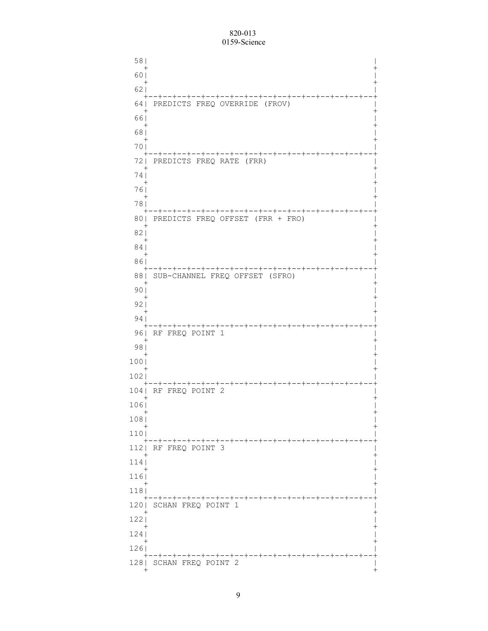820-013 0159-Science

| 581<br>$\pm$   |                                                |
|----------------|------------------------------------------------|
| 60  <br>$^+$   |                                                |
| 621            |                                                |
| 64             | PREDICTS FREO OVERRIDE (FROV)                  |
| $\pm$<br>661   |                                                |
| $^+$<br>681    | ┿                                              |
| $^+$<br>701    | ┿                                              |
| 72 I           | PREDICTS FREQ RATE (FRR)                       |
| $^{+}$<br>74 I | ┿                                              |
| $^+$<br>761    | ┿                                              |
| $^+$<br>781    |                                                |
| 80             | PREDICTS FREQ OFFSET (FRR + FRO)               |
| $\,^+$<br>821  | ╅                                              |
| $\pm$<br>841   | ┿                                              |
| $\pm$<br>861   | ┿                                              |
| 88             | SUB-CHANNEL FREQ OFFSET (SFRO)                 |
| $\,^+$<br>901  | ┿                                              |
| 921<br>$^+$    | ┿                                              |
| 94 I           |                                                |
| 961            | RF FREQ POINT 1<br>┿                           |
| $^+$<br>981    | ┿                                              |
| 1001<br>$^+$   | $^+$                                           |
| 1021           |                                                |
| 1041<br>$\pm$  | RF FREQ POINT 2<br>┿                           |
| 106            |                                                |
| 1081<br>$\pm$  | $^+$                                           |
| 1101<br>$\pm$  |                                                |
| $^{+}$         | 112  RF FREQ POINT 3<br>$\hskip 0.025cm +$     |
| 114<br>$\pm$   | $\, + \,$                                      |
| 1161<br>$\pm$  | $\hspace{0.1mm} +$                             |
| 1181<br>$^+$   |                                                |
| 1201<br>$\pm$  | SCHAN FREO POINT 1<br>┿                        |
| 1221<br>$^{+}$ | $\,{}^+$                                       |
| 124<br>$\pm$   | $\hspace{0.1mm} +$                             |
| 1261           |                                                |
| $^+$           | 128   SCHAN FREQ POINT 2<br>$\hskip 0.025cm +$ |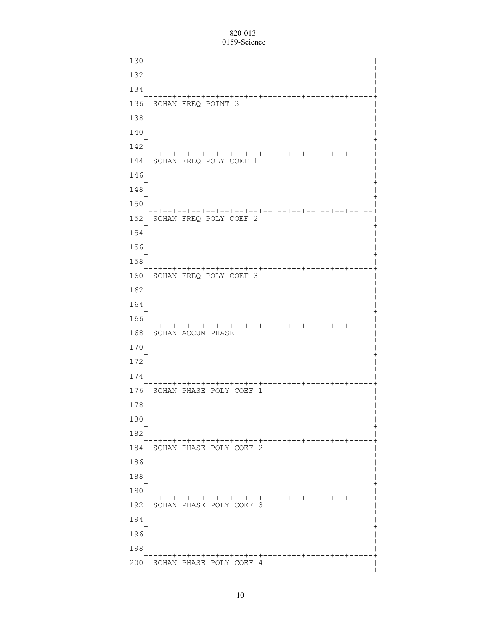| 1301           |                                                    |
|----------------|----------------------------------------------------|
| 1321           |                                                    |
| $\pm$<br>134   |                                                    |
| 1361           | SCHAN FREO POINT 3                                 |
| 1381           |                                                    |
| 1401           |                                                    |
| $^+$<br>1421   |                                                    |
| 144            | SCHAN FREQ POLY COEF 1                             |
| 1461           |                                                    |
| 1481           |                                                    |
| 1501           |                                                    |
| 1521           | SCHAN FREO POLY COEF 2                             |
| 154            |                                                    |
| 1561           |                                                    |
| 1581           |                                                    |
| 1601           | SCHAN FREO POLY COEF 3                             |
| 1621           |                                                    |
| $^+$<br>1641   |                                                    |
| $\pm$<br>166   |                                                    |
|                | 168  SCHAN ACCUM PHASE                             |
| 1701           |                                                    |
| 1721           |                                                    |
| $\pm$<br>1741  |                                                    |
|                | 176  SCHAN PHASE POLY COEF 1                       |
| 1781           |                                                    |
| ┿<br>180       |                                                    |
| $\pm$<br>1821  |                                                    |
| $\pm$<br>1841  | SCHAN PHASE POLY COEF 2                            |
| $\,^+$<br>1861 |                                                    |
| $\pm$<br>1881  |                                                    |
| $\pm$<br>1901  |                                                    |
| $^+$<br>1921   | SCHAN PHASE POLY COEF 3                            |
| $\pm$<br>1941  |                                                    |
| $\,^+$<br>1961 |                                                    |
| $\pm$<br>1981  |                                                    |
| $^+$<br>$^{+}$ | 200  SCHAN PHASE POLY COEF 4<br>$\hspace{0.1mm} +$ |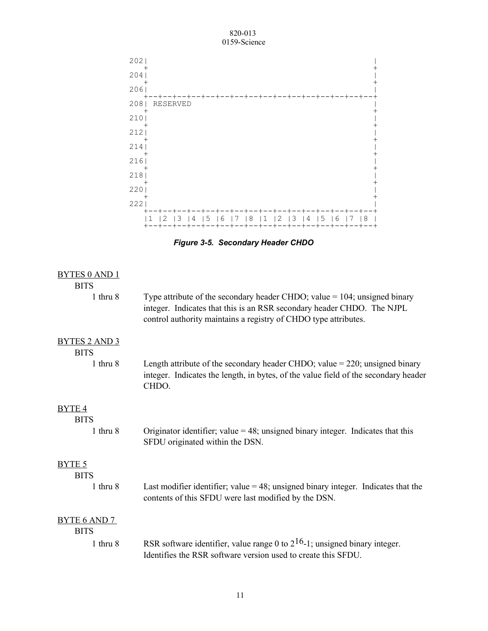

*Figure 3-5. Secondary Header CHDO*

| <b>BYTES 0 AND 1</b><br><b>BITS</b> |                                                                                                                                                                                                                           |
|-------------------------------------|---------------------------------------------------------------------------------------------------------------------------------------------------------------------------------------------------------------------------|
| $1$ thru $8$                        | Type attribute of the secondary header CHDO; value $= 104$ ; unsigned binary<br>integer. Indicates that this is an RSR secondary header CHDO. The NJPL<br>control authority maintains a registry of CHDO type attributes. |
| BYTES 2 AND 3<br><b>BITS</b>        |                                                                                                                                                                                                                           |
| $1$ thru $8$                        | Length attribute of the secondary header CHDO; value $= 220$ ; unsigned binary<br>integer. Indicates the length, in bytes, of the value field of the secondary header<br>CHDO.                                            |
| BYTE <sub>4</sub><br><b>BITS</b>    |                                                                                                                                                                                                                           |
| $1$ thru $8$                        | Originator identifier; value = 48; unsigned binary integer. Indicates that this<br>SFDU originated within the DSN.                                                                                                        |
| BYTE 5<br><b>BITS</b>               |                                                                                                                                                                                                                           |
| $1$ thru $8$                        | Last modifier identifier; value $=$ 48; unsigned binary integer. Indicates that the<br>contents of this SFDU were last modified by the DSN.                                                                               |
| BYTE 6 AND 7<br><b>BITS</b>         |                                                                                                                                                                                                                           |
| $1$ thru $8$                        | RSR software identifier, value range 0 to $2^{16}$ -1; unsigned binary integer.<br>Identifies the RSR software version used to create this SFDU.                                                                          |
|                                     |                                                                                                                                                                                                                           |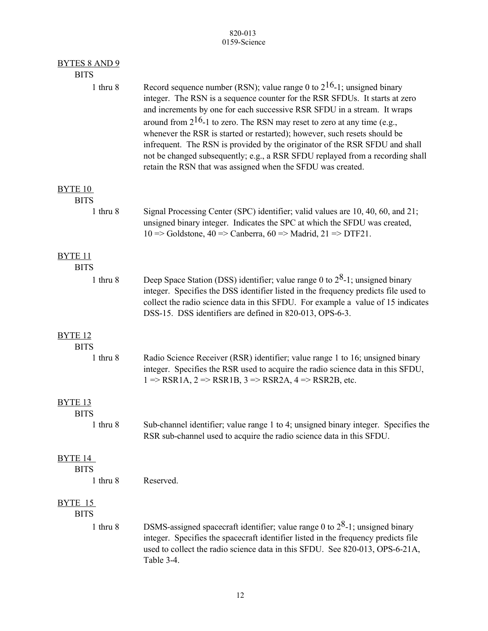| <b>BYTES 8 AND 9</b>              |                                                                                                                                                                                                                                                                                                                       |
|-----------------------------------|-----------------------------------------------------------------------------------------------------------------------------------------------------------------------------------------------------------------------------------------------------------------------------------------------------------------------|
| <b>BITS</b><br>$1$ thru $8$       | Record sequence number (RSN); value range 0 to $2^{16}$ -1; unsigned binary                                                                                                                                                                                                                                           |
|                                   | integer. The RSN is a sequence counter for the RSR SFDUs. It starts at zero<br>and increments by one for each successive RSR SFDU in a stream. It wraps<br>around from $2^{16}$ -1 to zero. The RSN may reset to zero at any time (e.g.,<br>whenever the RSR is started or restarted); however, such resets should be |
|                                   | infrequent. The RSN is provided by the originator of the RSR SFDU and shall<br>not be changed subsequently; e.g., a RSR SFDU replayed from a recording shall<br>retain the RSN that was assigned when the SFDU was created.                                                                                           |
| <b>BYTE 10</b><br><b>BITS</b>     |                                                                                                                                                                                                                                                                                                                       |
| $1$ thru $8$                      | Signal Processing Center (SPC) identifier; valid values are 10, 40, 60, and 21;<br>unsigned binary integer. Indicates the SPC at which the SFDU was created,<br>10 => Goldstone, 40 => Canberra, 60 => Madrid, 21 => DTF21.                                                                                           |
| <b>BYTE 11</b><br><b>BITS</b>     |                                                                                                                                                                                                                                                                                                                       |
| $1$ thru $8$                      | Deep Space Station (DSS) identifier; value range 0 to $28$ -1; unsigned binary                                                                                                                                                                                                                                        |
|                                   | integer. Specifies the DSS identifier listed in the frequency predicts file used to<br>collect the radio science data in this SFDU. For example a value of 15 indicates<br>DSS-15. DSS identifiers are defined in 820-013, OPS-6-3.                                                                                   |
| <b>BYTE 12</b><br><b>BITS</b>     |                                                                                                                                                                                                                                                                                                                       |
| $1$ thru $8$                      | Radio Science Receiver (RSR) identifier; value range 1 to 16; unsigned binary<br>integer. Specifies the RSR used to acquire the radio science data in this SFDU,<br>$1 \Rightarrow$ RSR1A, $2 \Rightarrow$ RSR1B, $3 \Rightarrow$ RSR2A, $4 \Rightarrow$ RSR2B, etc.                                                  |
| BYTE <sub>13</sub><br><b>BITS</b> |                                                                                                                                                                                                                                                                                                                       |
| $1$ thru $8$                      | Sub-channel identifier; value range 1 to 4; unsigned binary integer. Specifies the<br>RSR sub-channel used to acquire the radio science data in this SFDU.                                                                                                                                                            |
| <b>BYTE 14</b><br><b>BITS</b>     |                                                                                                                                                                                                                                                                                                                       |
| $1$ thru $8$                      | Reserved.                                                                                                                                                                                                                                                                                                             |
| <b>BYTE 15</b><br><b>BITS</b>     |                                                                                                                                                                                                                                                                                                                       |
| $1$ thru $8$                      | DSMS-assigned spacecraft identifier; value range 0 to $28$ -1; unsigned binary<br>integer. Specifies the spacecraft identifier listed in the frequency predicts file<br>used to collect the radio science data in this SFDU. See 820-013, OPS-6-21A,<br>Table 3-4.                                                    |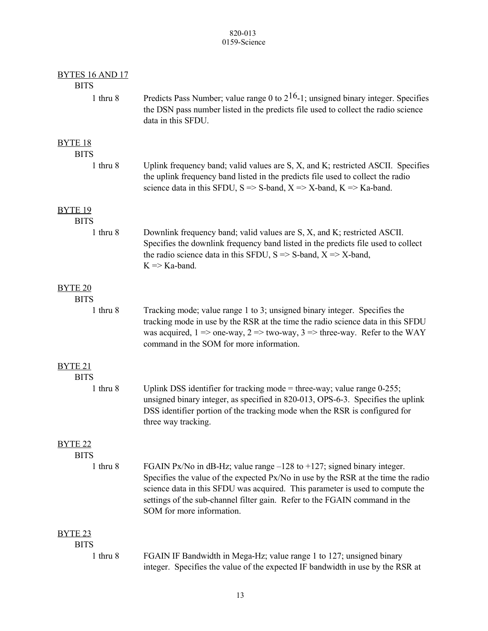| <b>BYTES 16 AND 17</b><br><b>BITS</b> |                                                                                                                                                                                                                                                                                                                                                              |
|---------------------------------------|--------------------------------------------------------------------------------------------------------------------------------------------------------------------------------------------------------------------------------------------------------------------------------------------------------------------------------------------------------------|
| $1$ thru $8$                          | Predicts Pass Number; value range 0 to $2^{16}$ -1; unsigned binary integer. Specifies<br>the DSN pass number listed in the predicts file used to collect the radio science<br>data in this SFDU.                                                                                                                                                            |
| <b>BYTE 18</b><br><b>BITS</b>         |                                                                                                                                                                                                                                                                                                                                                              |
| $1$ thru $8$                          | Uplink frequency band; valid values are S, X, and K; restricted ASCII. Specifies<br>the uplink frequency band listed in the predicts file used to collect the radio<br>science data in this SFDU, $S \Rightarrow S$ -band, $X \Rightarrow X$ -band, $K \Rightarrow Ka$ -band.                                                                                |
| <b>BYTE 19</b><br><b>BITS</b>         |                                                                                                                                                                                                                                                                                                                                                              |
| $1$ thru $8$                          | Downlink frequency band; valid values are S, X, and K; restricted ASCII.<br>Specifies the downlink frequency band listed in the predicts file used to collect<br>the radio science data in this SFDU, $S \Rightarrow S$ -band, $X \Rightarrow X$ -band,<br>$K \Rightarrow Ka$ -band.                                                                         |
| <b>BYTE 20</b><br><b>BITS</b>         |                                                                                                                                                                                                                                                                                                                                                              |
| $1$ thru $8$                          | Tracking mode; value range 1 to 3; unsigned binary integer. Specifies the<br>tracking mode in use by the RSR at the time the radio science data in this SFDU<br>was acquired, $1 \Rightarrow$ one-way, $2 \Rightarrow$ two-way, $3 \Rightarrow$ three-way. Refer to the WAY<br>command in the SOM for more information.                                      |
| <b>BYTE 21</b><br><b>BITS</b>         |                                                                                                                                                                                                                                                                                                                                                              |
| $1$ thru $8$                          | Uplink DSS identifier for tracking mode = three-way; value range $0-255$ ;<br>unsigned binary integer, as specified in 820-013, OPS-6-3. Specifies the uplink<br>DSS identifier portion of the tracking mode when the RSR is configured for<br>three way tracking.                                                                                           |
| <b>BYTE 22</b><br><b>BITS</b>         |                                                                                                                                                                                                                                                                                                                                                              |
| $1$ thru $8$                          | FGAIN Px/No in dB-Hz; value range $-128$ to $+127$ ; signed binary integer.<br>Specifies the value of the expected Px/No in use by the RSR at the time the radio<br>science data in this SFDU was acquired. This parameter is used to compute the<br>settings of the sub-channel filter gain. Refer to the FGAIN command in the<br>SOM for more information. |
| <b>BYTE 23</b><br><b>BITS</b>         |                                                                                                                                                                                                                                                                                                                                                              |
| $1$ thru $8$                          | FGAIN IF Bandwidth in Mega-Hz; value range 1 to 127; unsigned binary<br>integer. Specifies the value of the expected IF bandwidth in use by the RSR at                                                                                                                                                                                                       |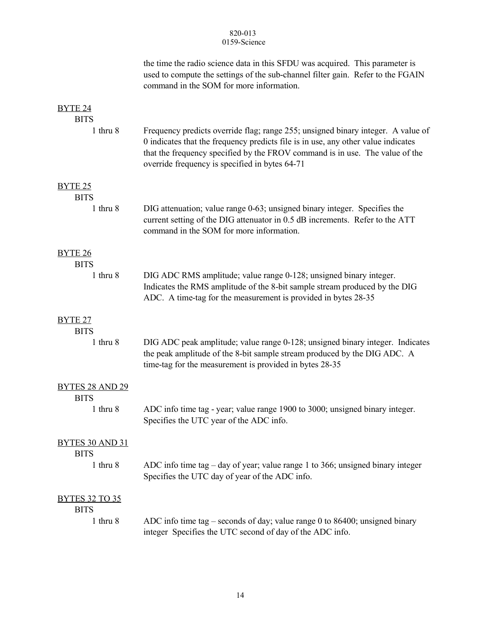|                                       | the time the radio science data in this SFDU was acquired. This parameter is<br>used to compute the settings of the sub-channel filter gain. Refer to the FGAIN<br>command in the SOM for more information.                                                                                             |
|---------------------------------------|---------------------------------------------------------------------------------------------------------------------------------------------------------------------------------------------------------------------------------------------------------------------------------------------------------|
| <b>BYTE 24</b><br><b>BITS</b>         |                                                                                                                                                                                                                                                                                                         |
| $1$ thru $8$                          | Frequency predicts override flag; range 255; unsigned binary integer. A value of<br>0 indicates that the frequency predicts file is in use, any other value indicates<br>that the frequency specified by the FROV command is in use. The value of the<br>override frequency is specified in bytes 64-71 |
| <b>BYTE 25</b><br><b>BITS</b>         |                                                                                                                                                                                                                                                                                                         |
| $1$ thru $8$                          | DIG attenuation; value range 0-63; unsigned binary integer. Specifies the<br>current setting of the DIG attenuator in 0.5 dB increments. Refer to the ATT<br>command in the SOM for more information.                                                                                                   |
| <b>BYTE 26</b><br><b>BITS</b>         |                                                                                                                                                                                                                                                                                                         |
| $1$ thru $8$                          | DIG ADC RMS amplitude; value range 0-128; unsigned binary integer.<br>Indicates the RMS amplitude of the 8-bit sample stream produced by the DIG<br>ADC. A time-tag for the measurement is provided in bytes 28-35                                                                                      |
| <b>BYTE 27</b><br><b>BITS</b>         |                                                                                                                                                                                                                                                                                                         |
| $1$ thru $8$                          | DIG ADC peak amplitude; value range 0-128; unsigned binary integer. Indicates<br>the peak amplitude of the 8-bit sample stream produced by the DIG ADC. A<br>time-tag for the measurement is provided in bytes 28-35                                                                                    |
| <b>BYTES 28 AND 29</b><br><b>BITS</b> |                                                                                                                                                                                                                                                                                                         |
| $1$ thru $8$                          | ADC info time tag - year; value range 1900 to 3000; unsigned binary integer.<br>Specifies the UTC year of the ADC info.                                                                                                                                                                                 |
| <b>BYTES 30 AND 31</b><br><b>BITS</b> |                                                                                                                                                                                                                                                                                                         |
| $1$ thru $8$                          | ADC info time tag $-$ day of year; value range 1 to 366; unsigned binary integer<br>Specifies the UTC day of year of the ADC info.                                                                                                                                                                      |
| <b>BYTES 32 TO 35</b><br><b>BITS</b>  |                                                                                                                                                                                                                                                                                                         |
| $1$ thru $8$                          | ADC info time tag – seconds of day; value range 0 to 86400; unsigned binary<br>integer Specifies the UTC second of day of the ADC info.                                                                                                                                                                 |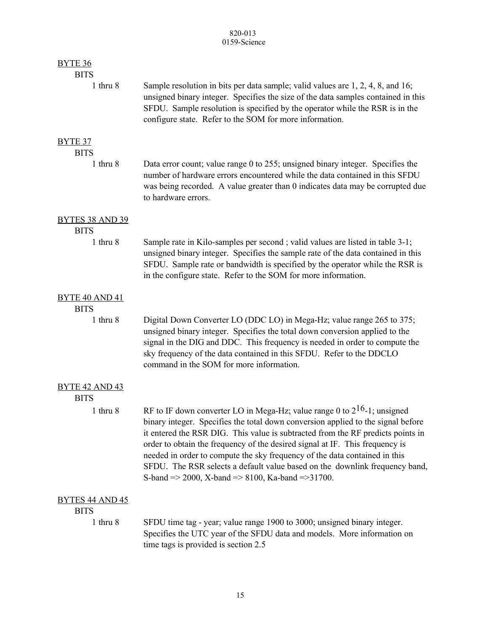| <b>BYTE 36</b>                        |                                                                                                                                                                                                                                                                                                                                                                                                                                                                                                                                                        |
|---------------------------------------|--------------------------------------------------------------------------------------------------------------------------------------------------------------------------------------------------------------------------------------------------------------------------------------------------------------------------------------------------------------------------------------------------------------------------------------------------------------------------------------------------------------------------------------------------------|
| <b>BITS</b><br>$1$ thru $8$           | Sample resolution in bits per data sample; valid values are 1, 2, 4, 8, and 16;<br>unsigned binary integer. Specifies the size of the data samples contained in this<br>SFDU. Sample resolution is specified by the operator while the RSR is in the<br>configure state. Refer to the SOM for more information.                                                                                                                                                                                                                                        |
| <b>BYTE 37</b>                        |                                                                                                                                                                                                                                                                                                                                                                                                                                                                                                                                                        |
| <b>BITS</b><br>$1$ thru $8$           | Data error count; value range 0 to 255; unsigned binary integer. Specifies the<br>number of hardware errors encountered while the data contained in this SFDU<br>was being recorded. A value greater than 0 indicates data may be corrupted due<br>to hardware errors.                                                                                                                                                                                                                                                                                 |
| <b>BYTES 38 AND 39</b><br><b>BITS</b> |                                                                                                                                                                                                                                                                                                                                                                                                                                                                                                                                                        |
| $1$ thru $8$                          | Sample rate in Kilo-samples per second ; valid values are listed in table 3-1;<br>unsigned binary integer. Specifies the sample rate of the data contained in this<br>SFDU. Sample rate or bandwidth is specified by the operator while the RSR is<br>in the configure state. Refer to the SOM for more information.                                                                                                                                                                                                                                   |
| <b>BYTE 40 AND 41</b><br><b>BITS</b>  |                                                                                                                                                                                                                                                                                                                                                                                                                                                                                                                                                        |
| $1$ thru $8$                          | Digital Down Converter LO (DDC LO) in Mega-Hz; value range 265 to 375;<br>unsigned binary integer. Specifies the total down conversion applied to the<br>signal in the DIG and DDC. This frequency is needed in order to compute the<br>sky frequency of the data contained in this SFDU. Refer to the DDCLO<br>command in the SOM for more information.                                                                                                                                                                                               |
| <b>BYTE 42 AND 43</b><br><b>BITS</b>  |                                                                                                                                                                                                                                                                                                                                                                                                                                                                                                                                                        |
| $1$ thru $8$                          | RF to IF down converter LO in Mega-Hz; value range 0 to $2^{16}$ -1; unsigned<br>binary integer. Specifies the total down conversion applied to the signal before<br>it entered the RSR DIG. This value is subtracted from the RF predicts points in<br>order to obtain the frequency of the desired signal at IF. This frequency is<br>needed in order to compute the sky frequency of the data contained in this<br>SFDU. The RSR selects a default value based on the downlink frequency band,<br>S-band => 2000, X-band => 8100, Ka-band => 31700. |
| <b>BYTES 44 AND 45</b><br><b>BITS</b> |                                                                                                                                                                                                                                                                                                                                                                                                                                                                                                                                                        |
| $1$ thru $8$                          | SFDU time tag - year; value range 1900 to 3000; unsigned binary integer.<br>Specifies the UTC year of the SFDU data and models. More information on<br>time tags is provided is section 2.5                                                                                                                                                                                                                                                                                                                                                            |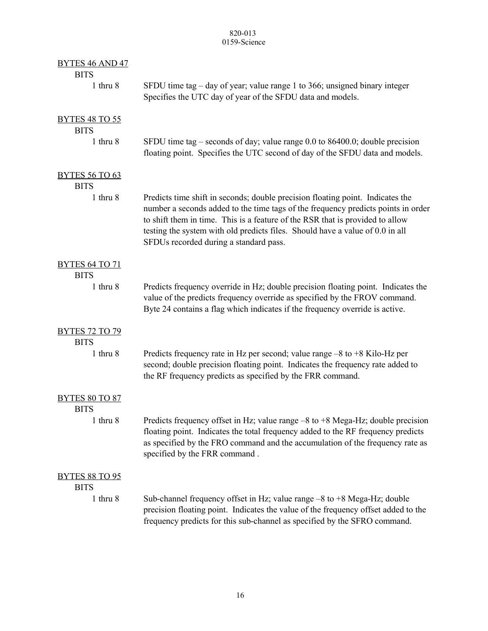| BYTES 46 AND 47                      |                                                                                                                                                                                                                                                                                                                                                                                 |
|--------------------------------------|---------------------------------------------------------------------------------------------------------------------------------------------------------------------------------------------------------------------------------------------------------------------------------------------------------------------------------------------------------------------------------|
| <b>BITS</b>                          |                                                                                                                                                                                                                                                                                                                                                                                 |
| $1$ thru $8$                         | SFDU time tag $-$ day of year; value range 1 to 366; unsigned binary integer<br>Specifies the UTC day of year of the SFDU data and models.                                                                                                                                                                                                                                      |
| <b>BYTES 48 TO 55</b><br><b>BITS</b> |                                                                                                                                                                                                                                                                                                                                                                                 |
| $1$ thru $8$                         | SFDU time tag – seconds of day; value range 0.0 to 86400.0; double precision<br>floating point. Specifies the UTC second of day of the SFDU data and models.                                                                                                                                                                                                                    |
| <b>BYTES 56 TO 63</b><br><b>BITS</b> |                                                                                                                                                                                                                                                                                                                                                                                 |
| $1$ thru $8$                         | Predicts time shift in seconds; double precision floating point. Indicates the<br>number a seconds added to the time tags of the frequency predicts points in order<br>to shift them in time. This is a feature of the RSR that is provided to allow<br>testing the system with old predicts files. Should have a value of 0.0 in all<br>SFDUs recorded during a standard pass. |
| <b>BYTES 64 TO 71</b><br><b>BITS</b> |                                                                                                                                                                                                                                                                                                                                                                                 |
| $1$ thru $8$                         | Predicts frequency override in Hz; double precision floating point. Indicates the<br>value of the predicts frequency override as specified by the FROV command.<br>Byte 24 contains a flag which indicates if the frequency override is active.                                                                                                                                 |
| <b>BYTES 72 TO 79</b><br><b>BITS</b> |                                                                                                                                                                                                                                                                                                                                                                                 |
| $1$ thru $8$                         | Predicts frequency rate in Hz per second; value range $-8$ to $+8$ Kilo-Hz per<br>second; double precision floating point. Indicates the frequency rate added to<br>the RF frequency predicts as specified by the FRR command.                                                                                                                                                  |
| <b>BYTES 80 TO 87</b><br><b>BITS</b> |                                                                                                                                                                                                                                                                                                                                                                                 |
| $1$ thru $8$                         | Predicts frequency offset in Hz; value range $-8$ to $+8$ Mega-Hz; double precision<br>floating point. Indicates the total frequency added to the RF frequency predicts<br>as specified by the FRO command and the accumulation of the frequency rate as<br>specified by the FRR command.                                                                                       |
| <b>BYTES 88 TO 95</b><br><b>BITS</b> |                                                                                                                                                                                                                                                                                                                                                                                 |
| $1$ thru $8$                         | Sub-channel frequency offset in Hz; value range $-8$ to $+8$ Mega-Hz; double<br>precision floating point. Indicates the value of the frequency offset added to the<br>frequency predicts for this sub-channel as specified by the SFRO command.                                                                                                                                 |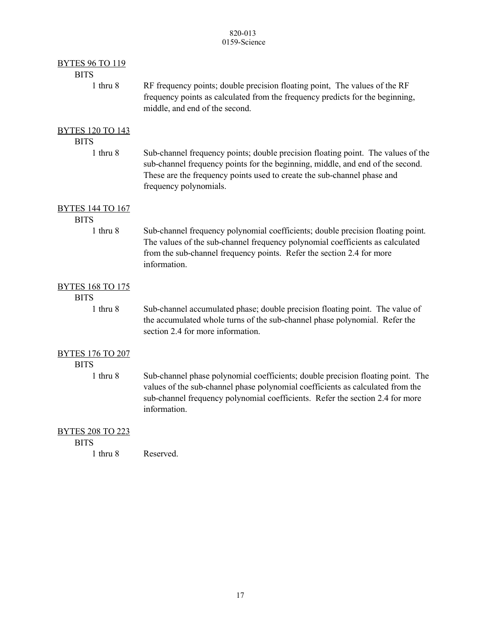| <b>BYTES 96 TO 119</b><br><b>BITS</b>  |                                                                                                                                                                                                                                                                         |
|----------------------------------------|-------------------------------------------------------------------------------------------------------------------------------------------------------------------------------------------------------------------------------------------------------------------------|
| $1$ thru $8$                           | RF frequency points; double precision floating point, The values of the RF<br>frequency points as calculated from the frequency predicts for the beginning,<br>middle, and end of the second.                                                                           |
| <b>BYTES 120 TO 143</b><br><b>BITS</b> |                                                                                                                                                                                                                                                                         |
| $1$ thru $8$                           | Sub-channel frequency points; double precision floating point. The values of the<br>sub-channel frequency points for the beginning, middle, and end of the second.<br>These are the frequency points used to create the sub-channel phase and<br>frequency polynomials. |
| <b>BYTES 144 TO 167</b>                |                                                                                                                                                                                                                                                                         |
| <b>BITS</b><br>$1$ thru $8$            | Sub-channel frequency polynomial coefficients; double precision floating point.<br>The values of the sub-channel frequency polynomial coefficients as calculated<br>from the sub-channel frequency points. Refer the section 2.4 for more<br>information.               |
| <b>BYTES 168 TO 175</b>                |                                                                                                                                                                                                                                                                         |
| <b>BITS</b><br>$1$ thru $8$            | Sub-channel accumulated phase; double precision floating point. The value of<br>the accumulated whole turns of the sub-channel phase polynomial. Refer the<br>section 2.4 for more information.                                                                         |
| <b>BYTES 176 TO 207</b>                |                                                                                                                                                                                                                                                                         |
| <b>BITS</b><br>$1$ thru $8$            | Sub-channel phase polynomial coefficients; double precision floating point. The                                                                                                                                                                                         |
|                                        | values of the sub-channel phase polynomial coefficients as calculated from the<br>sub-channel frequency polynomial coefficients. Refer the section 2.4 for more<br>information.                                                                                         |
| <b>BYTES 208 TO 223</b><br><b>BITS</b> |                                                                                                                                                                                                                                                                         |
| $1$ thru $8$                           | Reserved.                                                                                                                                                                                                                                                               |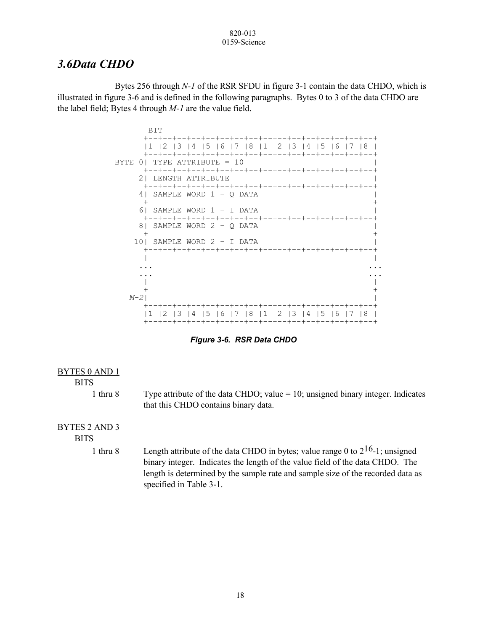### *3.6Data CHDO*

Bytes 256 through *N-1* of the RSR SFDU in figure 3-1 contain the data CHDO, which is illustrated in figure 3-6 and is defined in the following paragraphs. Bytes 0 to 3 of the data CHDO are the label field; Bytes 4 through *M-1* are the value field.



*Figure 3-6. RSR Data CHDO*

| BYTES 0 AND 1<br><b>BITS</b><br>$1$ thru $8$ | Type attribute of the data CHDO; value $= 10$ ; unsigned binary integer. Indicates<br>that this CHDO contains binary data. |
|----------------------------------------------|----------------------------------------------------------------------------------------------------------------------------|
| BYTES 2 AND 3                                |                                                                                                                            |
| <b>BITS</b>                                  |                                                                                                                            |
| $1$ thru $8$                                 | Length attribute of the data CHDO in bytes; value range 0 to $2^{16}$ -1; unsigned                                         |

binary integer. Indicates the length of the value field of the data CHDO. The length is determined by the sample rate and sample size of the recorded data as specified in Table 3-1.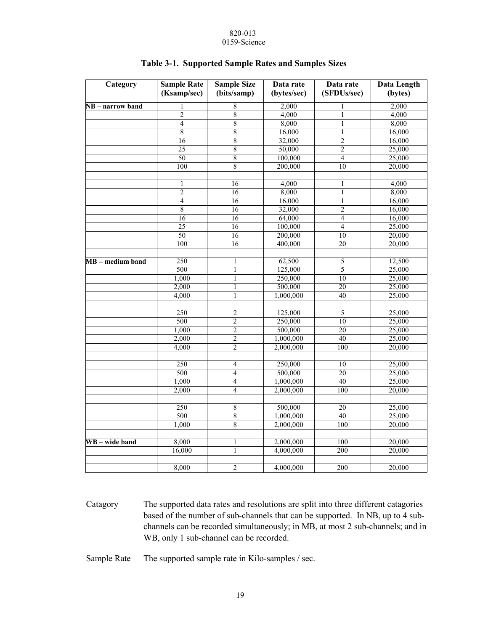| Category         | <b>Sample Rate</b><br>(Ksamp/sec) | <b>Sample Size</b><br>(bits/samp) | Data rate<br>(bytes/sec) | Data rate<br>(SFDUs/sec) | Data Length<br>(bytes) |
|------------------|-----------------------------------|-----------------------------------|--------------------------|--------------------------|------------------------|
| NB - narrow band |                                   | 8                                 | 2,000                    | 1                        | 2,000                  |
|                  | $\overline{2}$                    | $\sqrt{8}$                        | 4,000                    | $\mathbf{1}$             | 4,000                  |
|                  | $\overline{\mathcal{L}}$          | 8                                 | 8,000                    | $\mathbf{1}$             | 8,000                  |
|                  | $\overline{8}$                    | 8                                 | 16,000                   | $\,1$                    | 16,000                 |
|                  | 16                                | 8                                 | 32,000                   | $\overline{2}$           | 16,000                 |
|                  | 25                                | 8                                 | 50,000                   | $\overline{2}$           | 25,000                 |
|                  | $\overline{50}$                   | 8                                 | 100,000                  | $\overline{4}$           | 25,000                 |
|                  | 100                               | 8                                 | 200,000                  | 10                       | 20,000                 |
|                  |                                   |                                   |                          |                          |                        |
|                  | $\mathbf{1}$                      | 16                                | 4,000                    | $\mathbf{1}$             | 4,000                  |
|                  | $\overline{2}$                    | $\overline{16}$                   | 8,000                    | $\mathbf{1}$             | 8,000                  |
|                  | 4                                 | $\overline{16}$                   | 16,000                   | $\,1\,$                  | 16,000                 |
|                  | $\overline{8}$                    | 16                                | 32,000                   | $\overline{2}$           | 16,000                 |
|                  | 16                                | 16                                | 64,000                   | $\overline{4}$           | 16,000                 |
|                  | 25                                | $\overline{16}$                   | 100,000                  | $\overline{4}$           | 25,000                 |
|                  | 50                                | $\overline{16}$                   | 200,000                  | 10                       | 20,000                 |
|                  | 100                               | $\overline{16}$                   | 400,000                  | $\overline{20}$          | 20,000                 |
|                  |                                   |                                   |                          |                          |                        |
| MB - medium band | 250                               | 1                                 | 62,500                   | 5                        | 12,500                 |
|                  | 500                               | $\mathbf{1}$                      | 125,000                  | 5                        | 25,000                 |
|                  | 1,000                             | $\mathbf{1}$                      | 250,000                  | 10                       | 25,000                 |
|                  | 2,000                             | $\mathbf{1}$                      | 500,000                  | 20                       | 25,000                 |
|                  | 4,000                             | 1                                 | 1,000,000                | 40                       | 25,000                 |
|                  |                                   |                                   |                          |                          |                        |
|                  | 250                               | $\overline{2}$                    | 125,000                  | $\overline{5}$           | 25,000                 |
|                  | 500                               | $\overline{2}$                    | 250,000                  | $\overline{10}$          | 25,000                 |
|                  | 1,000                             | $\overline{2}$                    | 500,000                  | $\overline{20}$          | 25,000                 |
|                  | 2,000                             | $\overline{\mathbf{c}}$           | 1,000,000                | 40                       | 25,000                 |
|                  | 4,000                             | $\overline{2}$                    | 2,000,000                | 100                      | 20,000                 |
|                  |                                   |                                   |                          |                          |                        |
|                  | 250                               | $\overline{4}$                    | 250,000                  | 10                       | 25,000                 |
|                  | 500                               | $\overline{4}$                    | 500,000                  | 20                       | 25,000                 |
|                  | 1,000                             | $\overline{4}$                    | 1,000,000                | 40                       | 25,000                 |
|                  | 2,000                             | $\overline{4}$                    | 2,000,000                | 100                      | 20,000                 |
|                  |                                   |                                   |                          |                          |                        |
|                  | 250                               | 8                                 | 500,000                  | 20                       | 25,000                 |
|                  | 500                               | $\overline{8}$                    | 1,000,000                | 40                       | 25,000                 |
|                  | 1,000                             | $\overline{8}$                    | 2,000,000                | 100                      | 20,000                 |
|                  |                                   |                                   |                          |                          |                        |
| WB - wide band   | 8,000                             | $\mathbf{1}$                      | 2,000,000                | 100                      | 20,000                 |
|                  | 16,000                            | 1                                 | 4,000,000                | 200                      | 20,000                 |
|                  |                                   |                                   |                          |                          |                        |
|                  | 8,000                             | $\overline{2}$                    | 4,000,000                | 200                      | 20,000                 |

#### **Table 3-1. Supported Sample Rates and Samples Sizes**

- Catagory The supported data rates and resolutions are split into three different catagories based of the number of sub-channels that can be supported. In NB, up to 4 subchannels can be recorded simultaneously; in MB, at most 2 sub-channels; and in WB, only 1 sub-channel can be recorded.
- Sample Rate The supported sample rate in Kilo-samples / sec.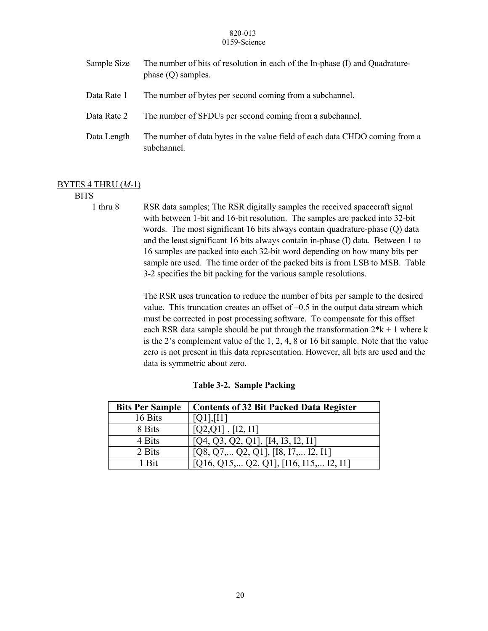| Sample Size | The number of bits of resolution in each of the In-phase (I) and Quadrature-<br>phase $(Q)$ samples. |
|-------------|------------------------------------------------------------------------------------------------------|
| Data Rate 1 | The number of bytes per second coming from a subchannel.                                             |
| Data Rate 2 | The number of SFDUs per second coming from a subchannel.                                             |
| Data Length | The number of data bytes in the value field of each data CHDO coming from a<br>subchannel.           |

#### BYTES 4 THRU  $(M-1)$

BITS

1 thru 8 RSR data samples; The RSR digitally samples the received spacecraft signal with between 1-bit and 16-bit resolution. The samples are packed into 32-bit words. The most significant 16 bits always contain quadrature-phase (Q) data and the least significant 16 bits always contain in-phase (I) data. Between 1 to 16 samples are packed into each 32-bit word depending on how many bits per sample are used. The time order of the packed bits is from LSB to MSB. Table 3-2 specifies the bit packing for the various sample resolutions.

> The RSR uses truncation to reduce the number of bits per sample to the desired value. This truncation creates an offset of –0.5 in the output data stream which must be corrected in post processing software. To compensate for this offset each RSR data sample should be put through the transformation  $2*k + 1$  where k is the 2's complement value of the 1, 2, 4, 8 or 16 bit sample. Note that the value zero is not present in this data representation. However, all bits are used and the data is symmetric about zero.

| <b>Bits Per Sample</b> | <b>Contents of 32 Bit Packed Data Register</b>    |
|------------------------|---------------------------------------------------|
| 16 Bits                | $[Q1]$ , $[I1]$                                   |
| 8 Bits                 | $[Q2,Q1]$ , $[I2,I1]$                             |
| 4 Bits                 | $[Q4, Q3, Q2, Q1]$ , $[14, 13, 12, 11]$           |
| 2 Bits                 | $[Q8, Q7, Q2, Q1]$ , $[18, 17, 12, 11]$           |
| 1 Bit                  | $[Q16, Q15, \ldots Q2, Q1]$ , [116, 115,  I2, 11] |

**Table 3-2. Sample Packing**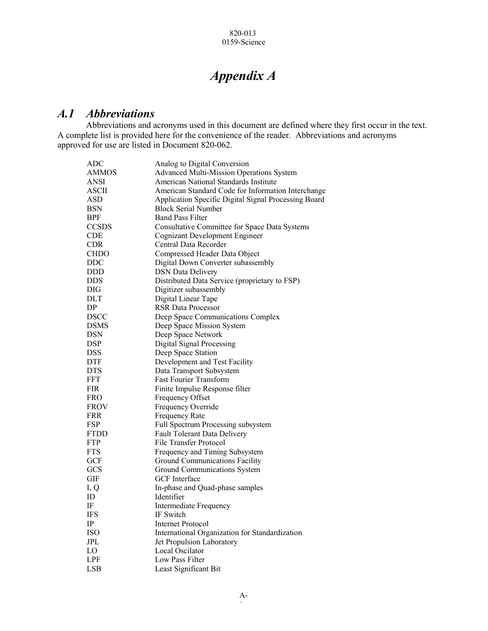## *Appendix A*

### *A.1 Abbreviations*

Abbreviations and acronyms used in this document are defined where they first occur in the text. A complete list is provided here for the convenience of the reader. Abbreviations and acronyms approved for use are listed in Document 820-062.

| ADC          | Analog to Digital Conversion                         |
|--------------|------------------------------------------------------|
| AMMOS        | <b>Advanced Multi-Mission Operations System</b>      |
| ANSI         | <b>American National Standards Institute</b>         |
| ASCII        | American Standard Code for Information Interchange   |
| ASD          | Application Specific Digital Signal Processing Board |
| BSN          | <b>Block Serial Number</b>                           |
| BPF          | <b>Band Pass Filter</b>                              |
| <b>CCSDS</b> | Consultative Committee for Space Data Systems        |
| <b>CDE</b>   | <b>Cognizant Development Engineer</b>                |
| <b>CDR</b>   | Central Data Recorder                                |
| <b>CHDO</b>  | Compressed Header Data Object                        |
| DDC          | Digital Down Converter subassembly                   |
| <b>DDD</b>   | <b>DSN</b> Data Delivery                             |
| <b>DDS</b>   | Distributed Data Service (proprietary to FSP)        |
| DIG          | Digitizer subassembly                                |
| <b>DLT</b>   | Digital Linear Tape                                  |
| DP           | <b>RSR Data Processor</b>                            |
| <b>DSCC</b>  | Deep Space Communications Complex                    |
| <b>DSMS</b>  | Deep Space Mission System                            |
| <b>DSN</b>   | Deep Space Network                                   |
| DSP          | Digital Signal Processing                            |
| DSS          | Deep Space Station                                   |
| <b>DTF</b>   | Development and Test Facility                        |
| <b>DTS</b>   | Data Transport Subsystem                             |
| FFT          | <b>Fast Fourier Transform</b>                        |
| <b>FIR</b>   | Finite Impulse Response filter                       |
| <b>FRO</b>   | Frequency Offset                                     |
| <b>FROV</b>  | Frequency Override                                   |
| <b>FRR</b>   | Frequency Rate                                       |
| <b>FSP</b>   | Full Spectrum Processing subsystem                   |
| <b>FTDD</b>  | Fault Tolerant Data Delivery                         |
| <b>FTP</b>   | File Transfer Protocol                               |
| <b>FTS</b>   | Frequency and Timing Subsystem                       |
| <b>GCF</b>   | Ground Communications Facility                       |
| GCS          | Ground Communications System                         |
| GIF          | <b>GCF</b> Interface                                 |
| I, Q         | In-phase and Quad-phase samples                      |
| ID           | Identifier                                           |
| IF           | Intermediate Frequency                               |
| IFS          | IF Switch                                            |
| IP           | <b>Internet Protocol</b>                             |
| <b>ISO</b>   | International Organization for Standardization       |
| JPL          | Jet Propulsion Laboratory                            |
| LO           | Local Oscilator                                      |
|              |                                                      |
| LPF          | Low Pass Filter                                      |
| <b>LSB</b>   | Least Significant Bit                                |